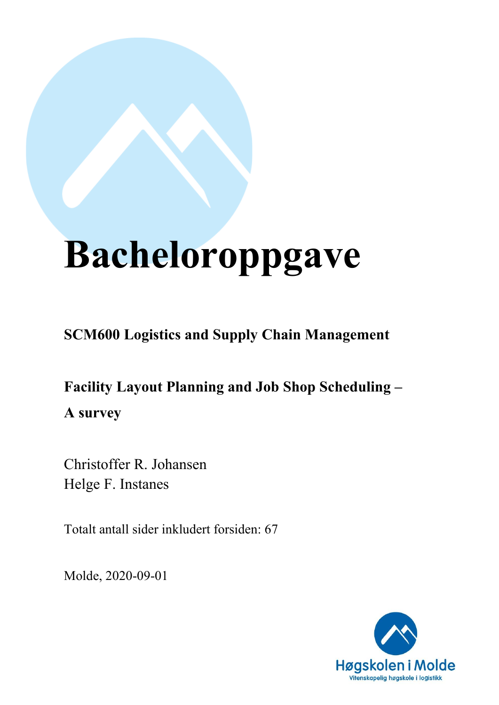# **Bacheloroppgave**

**SCM600 Logistics and Supply Chain Management**

**Facility Layout Planning and Job Shop Scheduling – A survey**

Christoffer R. Johansen Helge F. Instanes

Totalt antall sider inkludert forsiden: 67

Molde, 2020-09-01

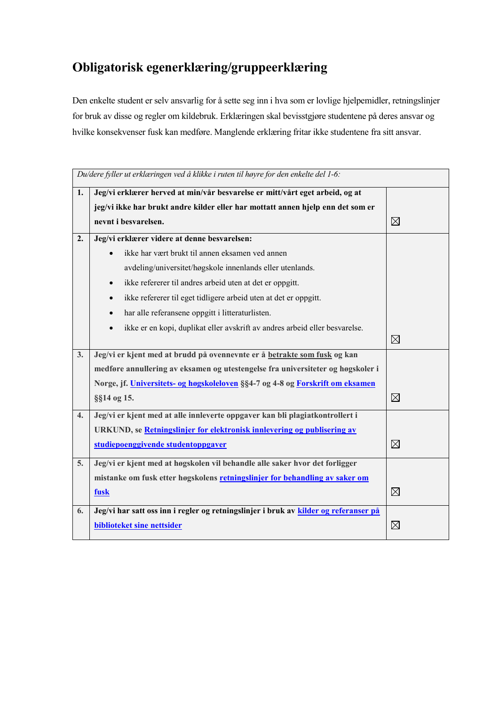## **Obligatorisk egenerklæring/gruppeerklæring**

Den enkelte student er selv ansvarlig for å sette seg inn i hva som er lovlige hjelpemidler, retningslinjer for bruk av disse og regler om kildebruk. Erklæringen skal bevisstgjøre studentene på deres ansvar og hvilke konsekvenser fusk kan medføre. Manglende erklæring fritar ikke studentene fra sitt ansvar.

|    | Du/dere fyller ut erklæringen ved å klikke i ruten til høyre for den enkelte del 1-6: |             |  |  |  |  |  |  |  |  |  |
|----|---------------------------------------------------------------------------------------|-------------|--|--|--|--|--|--|--|--|--|
| 1. | Jeg/vi erklærer herved at min/vår besvarelse er mitt/vårt eget arbeid, og at          |             |  |  |  |  |  |  |  |  |  |
|    | jeg/vi ikke har brukt andre kilder eller har mottatt annen hjelp enn det som er       |             |  |  |  |  |  |  |  |  |  |
|    | nevnt i besvarelsen.                                                                  | $\boxtimes$ |  |  |  |  |  |  |  |  |  |
| 2. | Jeg/vi erklærer videre at denne besvarelsen:                                          |             |  |  |  |  |  |  |  |  |  |
|    | ikke har vært brukt til annen eksamen ved annen                                       |             |  |  |  |  |  |  |  |  |  |
|    | avdeling/universitet/høgskole innenlands eller utenlands.                             |             |  |  |  |  |  |  |  |  |  |
|    | ikke refererer til andres arbeid uten at det er oppgitt.<br>$\bullet$                 |             |  |  |  |  |  |  |  |  |  |
|    | ikke refererer til eget tidligere arbeid uten at det er oppgitt.<br>$\bullet$         |             |  |  |  |  |  |  |  |  |  |
|    | har alle referansene oppgitt i litteraturlisten.                                      |             |  |  |  |  |  |  |  |  |  |
|    | ikke er en kopi, duplikat eller avskrift av andres arbeid eller besvarelse.           |             |  |  |  |  |  |  |  |  |  |
|    |                                                                                       | $\boxtimes$ |  |  |  |  |  |  |  |  |  |
| 3. | Jeg/vi er kjent med at brudd på ovennevnte er å betrakte som fusk og kan              |             |  |  |  |  |  |  |  |  |  |
|    | medføre annullering av eksamen og utestengelse fra universiteter og høgskoler i       |             |  |  |  |  |  |  |  |  |  |
|    | Norge, jf. Universitets- og høgskoleloven §§4-7 og 4-8 og Forskrift om eksamen        |             |  |  |  |  |  |  |  |  |  |
|    | §§14 og 15.                                                                           | $\boxtimes$ |  |  |  |  |  |  |  |  |  |
| 4. | Jeg/vi er kjent med at alle innleverte oppgaver kan bli plagiatkontrollert i          |             |  |  |  |  |  |  |  |  |  |
|    | URKUND, se Retningslinjer for elektronisk innlevering og publisering av               |             |  |  |  |  |  |  |  |  |  |
|    | studiepoenggivende studentoppgaver                                                    | $\boxtimes$ |  |  |  |  |  |  |  |  |  |
| 5. | Jeg/vi er kjent med at høgskolen vil behandle alle saker hvor det forligger           |             |  |  |  |  |  |  |  |  |  |
|    | mistanke om fusk etter høgskolens retningslinjer for behandling av saker om           |             |  |  |  |  |  |  |  |  |  |
|    | fusk                                                                                  | $\boxtimes$ |  |  |  |  |  |  |  |  |  |
| 6. | Jeg/vi har satt oss inn i regler og retningslinjer i bruk av kilder og referanser på  |             |  |  |  |  |  |  |  |  |  |
|    | biblioteket sine nettsider                                                            | $\boxtimes$ |  |  |  |  |  |  |  |  |  |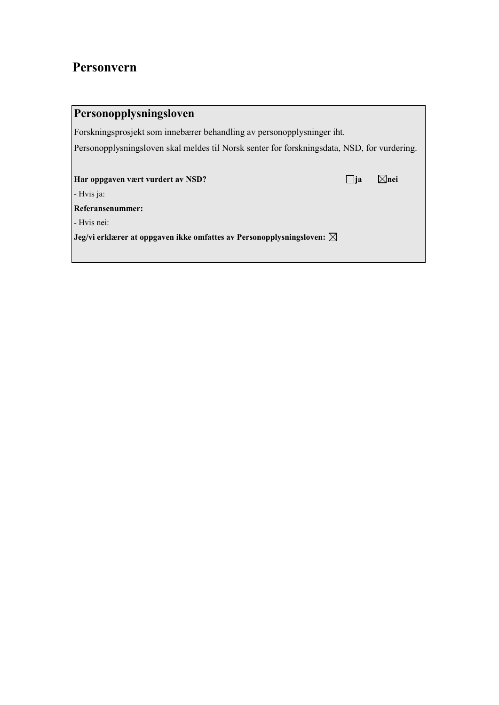## **Personvern**

| Personopplysningsloven                                                                      |       |        |  |  |  |  |  |  |  |
|---------------------------------------------------------------------------------------------|-------|--------|--|--|--|--|--|--|--|
| Forskningsprosjekt som innebærer behandling av personopplysninger iht.                      |       |        |  |  |  |  |  |  |  |
| Personopplysningsloven skal meldes til Norsk senter for forskningsdata, NSD, for vurdering. |       |        |  |  |  |  |  |  |  |
|                                                                                             |       |        |  |  |  |  |  |  |  |
| Har oppgaven vært vurdert av NSD?                                                           | - lia | ∣×lnei |  |  |  |  |  |  |  |
| - Hvis ja:                                                                                  |       |        |  |  |  |  |  |  |  |
| Referansenummer:                                                                            |       |        |  |  |  |  |  |  |  |
| - Hvis nei:                                                                                 |       |        |  |  |  |  |  |  |  |
| Jeg/vi erklærer at oppgaven ikke omfattes av Personopplysningsloven: $\boxtimes$            |       |        |  |  |  |  |  |  |  |
|                                                                                             |       |        |  |  |  |  |  |  |  |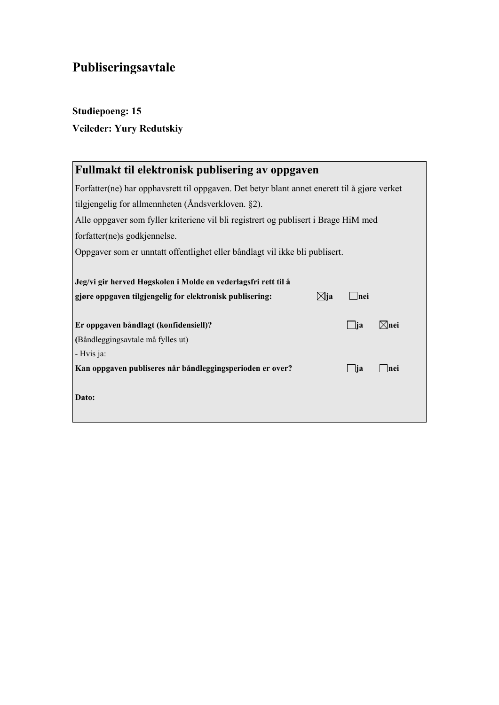# **Publiseringsavtale**

## **Studiepoeng: 15 Veileder: Yury Redutskiy**

| Fullmakt til elektronisk publisering av oppgaven                                             |           |                 |  |  |  |  |  |  |  |  |
|----------------------------------------------------------------------------------------------|-----------|-----------------|--|--|--|--|--|--|--|--|
| Forfatter(ne) har opphavsrett til oppgaven. Det betyr blant annet enerett til å gjøre verket |           |                 |  |  |  |  |  |  |  |  |
| tilgjengelig for allmennheten (Åndsverkloven. §2).                                           |           |                 |  |  |  |  |  |  |  |  |
| Alle oppgaver som fyller kriteriene vil bli registrert og publisert i Brage HiM med          |           |                 |  |  |  |  |  |  |  |  |
| forfatter(ne)s godkjennelse.                                                                 |           |                 |  |  |  |  |  |  |  |  |
| Oppgaver som er unntatt offentlighet eller båndlagt vil ikke bli publisert.                  |           |                 |  |  |  |  |  |  |  |  |
|                                                                                              |           |                 |  |  |  |  |  |  |  |  |
| Jeg/vi gir herved Høgskolen i Molde en vederlagsfri rett til å                               |           |                 |  |  |  |  |  |  |  |  |
| ⊠ja<br>gjøre oppgaven tilgjengelig for elektronisk publisering:                              | Inei      |                 |  |  |  |  |  |  |  |  |
|                                                                                              |           |                 |  |  |  |  |  |  |  |  |
| Er oppgaven båndlagt (konfidensiell)?                                                        | $\Box$ ja | $\boxtimes$ nei |  |  |  |  |  |  |  |  |
| (Båndleggingsavtale må fylles ut)                                                            |           |                 |  |  |  |  |  |  |  |  |
| - Hvis ja:                                                                                   |           |                 |  |  |  |  |  |  |  |  |
| Kan oppgaven publiseres når båndleggingsperioden er over?                                    | $\Box$ ja | - Inei          |  |  |  |  |  |  |  |  |
| Dato:                                                                                        |           |                 |  |  |  |  |  |  |  |  |
|                                                                                              |           |                 |  |  |  |  |  |  |  |  |
|                                                                                              |           |                 |  |  |  |  |  |  |  |  |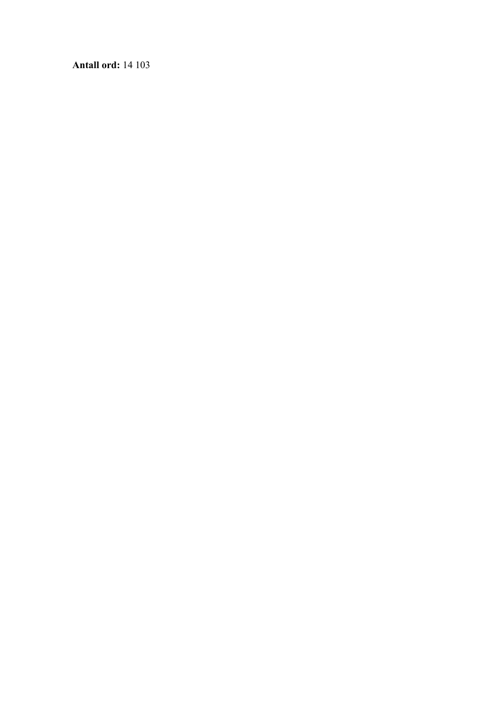**Antall ord:** 14 103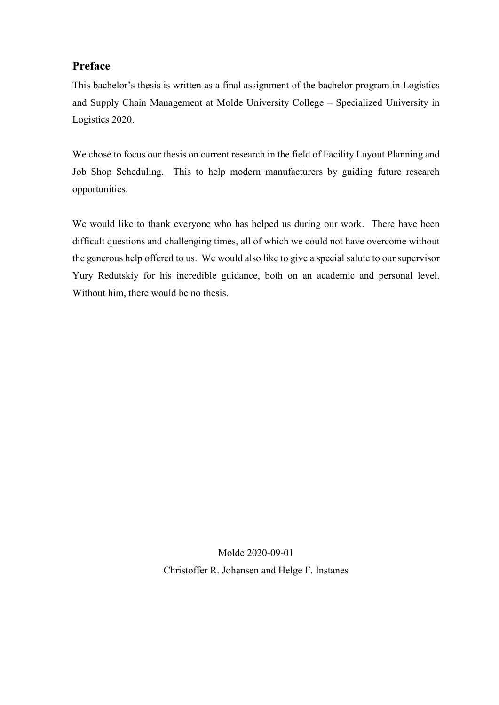#### **Preface**

This bachelor's thesis is written as a final assignment of the bachelor program in Logistics and Supply Chain Management at Molde University College – Specialized University in Logistics 2020.

We chose to focus our thesis on current research in the field of Facility Layout Planning and Job Shop Scheduling. This to help modern manufacturers by guiding future research opportunities.

We would like to thank everyone who has helped us during our work. There have been difficult questions and challenging times, all of which we could not have overcome without the generous help offered to us. We would also like to give a special salute to our supervisor Yury Redutskiy for his incredible guidance, both on an academic and personal level. Without him, there would be no thesis.

> Molde 2020-09-01 Christoffer R. Johansen and Helge F. Instanes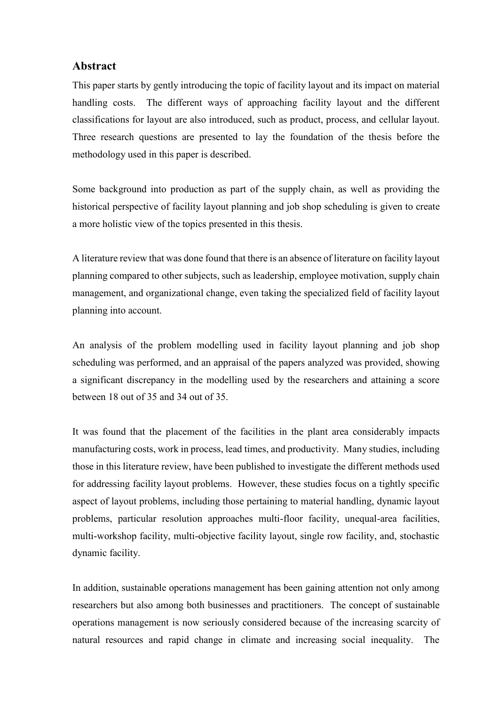#### **Abstract**

This paper starts by gently introducing the topic of facility layout and its impact on material handling costs. The different ways of approaching facility layout and the different classifications for layout are also introduced, such as product, process, and cellular layout. Three research questions are presented to lay the foundation of the thesis before the methodology used in this paper is described.

Some background into production as part of the supply chain, as well as providing the historical perspective of facility layout planning and job shop scheduling is given to create a more holistic view of the topics presented in this thesis.

A literature review that was done found that there is an absence of literature on facility layout planning compared to other subjects, such as leadership, employee motivation, supply chain management, and organizational change, even taking the specialized field of facility layout planning into account.

An analysis of the problem modelling used in facility layout planning and job shop scheduling was performed, and an appraisal of the papers analyzed was provided, showing a significant discrepancy in the modelling used by the researchers and attaining a score between 18 out of 35 and 34 out of 35.

It was found that the placement of the facilities in the plant area considerably impacts manufacturing costs, work in process, lead times, and productivity. Many studies, including those in this literature review, have been published to investigate the different methods used for addressing facility layout problems. However, these studies focus on a tightly specific aspect of layout problems, including those pertaining to material handling, dynamic layout problems, particular resolution approaches multi-floor facility, unequal-area facilities, multi-workshop facility, multi-objective facility layout, single row facility, and, stochastic dynamic facility.

In addition, sustainable operations management has been gaining attention not only among researchers but also among both businesses and practitioners. The concept of sustainable operations management is now seriously considered because of the increasing scarcity of natural resources and rapid change in climate and increasing social inequality. The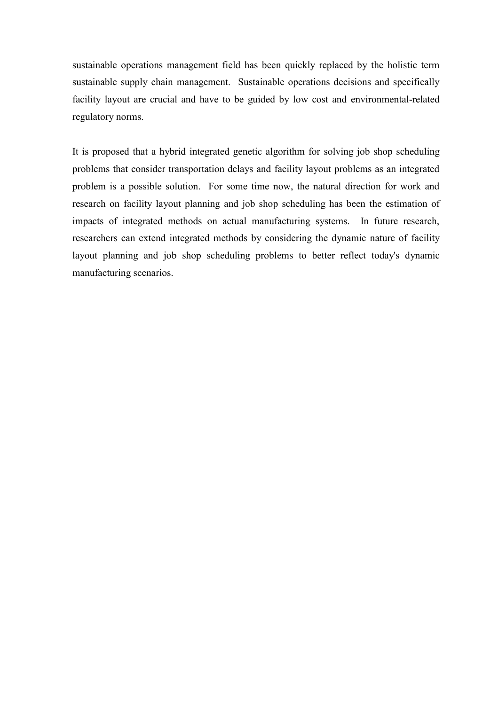sustainable operations management field has been quickly replaced by the holistic term sustainable supply chain management. Sustainable operations decisions and specifically facility layout are crucial and have to be guided by low cost and environmental-related regulatory norms.

It is proposed that a hybrid integrated genetic algorithm for solving job shop scheduling problems that consider transportation delays and facility layout problems as an integrated problem is a possible solution. For some time now, the natural direction for work and research on facility layout planning and job shop scheduling has been the estimation of impacts of integrated methods on actual manufacturing systems. In future research, researchers can extend integrated methods by considering the dynamic nature of facility layout planning and job shop scheduling problems to better reflect today's dynamic manufacturing scenarios.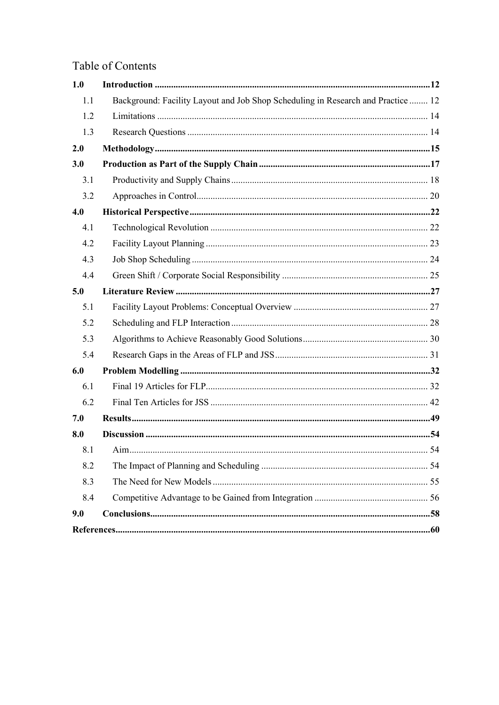## Table of Contents

| 1.0 |                                                                                  |  |
|-----|----------------------------------------------------------------------------------|--|
| 1.1 | Background: Facility Layout and Job Shop Scheduling in Research and Practice  12 |  |
| 1.2 |                                                                                  |  |
| 1.3 |                                                                                  |  |
| 2.0 |                                                                                  |  |
| 3.0 |                                                                                  |  |
| 3.1 |                                                                                  |  |
| 3.2 |                                                                                  |  |
| 4.0 |                                                                                  |  |
| 4.1 |                                                                                  |  |
| 4.2 |                                                                                  |  |
| 4.3 |                                                                                  |  |
| 4.4 |                                                                                  |  |
| 5.0 |                                                                                  |  |
| 5.1 |                                                                                  |  |
| 5.2 |                                                                                  |  |
| 5.3 |                                                                                  |  |
| 5.4 |                                                                                  |  |
| 6.0 |                                                                                  |  |
| 6.1 |                                                                                  |  |
| 6.2 |                                                                                  |  |
| 7.0 |                                                                                  |  |
| 8.0 |                                                                                  |  |
| 8.1 |                                                                                  |  |
| 8.2 |                                                                                  |  |
| 8.3 |                                                                                  |  |
| 8.4 |                                                                                  |  |
| 9.0 |                                                                                  |  |
|     |                                                                                  |  |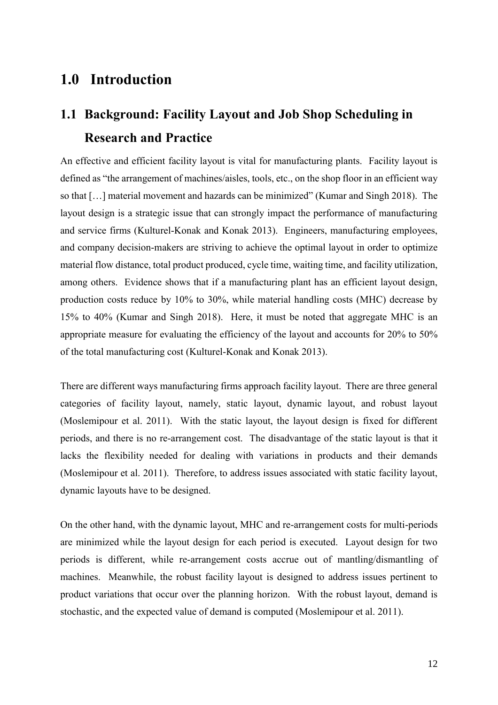## <span id="page-11-0"></span>**1.0 Introduction**

## <span id="page-11-1"></span>**1.1 Background: Facility Layout and Job Shop Scheduling in Research and Practice**

An effective and efficient facility layout is vital for manufacturing plants. Facility layout is defined as "the arrangement of machines/aisles, tools, etc., on the shop floor in an efficient way so that […] material movement and hazards can be minimized" (Kumar and Singh 2018). The layout design is a strategic issue that can strongly impact the performance of manufacturing and service firms (Kulturel-Konak and Konak 2013). Engineers, manufacturing employees, and company decision-makers are striving to achieve the optimal layout in order to optimize material flow distance, total product produced, cycle time, waiting time, and facility utilization, among others. Evidence shows that if a manufacturing plant has an efficient layout design, production costs reduce by 10% to 30%, while material handling costs (MHC) decrease by 15% to 40% (Kumar and Singh 2018). Here, it must be noted that aggregate MHC is an appropriate measure for evaluating the efficiency of the layout and accounts for 20% to 50% of the total manufacturing cost (Kulturel-Konak and Konak 2013).

There are different ways manufacturing firms approach facility layout. There are three general categories of facility layout, namely, static layout, dynamic layout, and robust layout (Moslemipour et al. 2011). With the static layout, the layout design is fixed for different periods, and there is no re-arrangement cost. The disadvantage of the static layout is that it lacks the flexibility needed for dealing with variations in products and their demands (Moslemipour et al. 2011). Therefore, to address issues associated with static facility layout, dynamic layouts have to be designed.

On the other hand, with the dynamic layout, MHC and re-arrangement costs for multi-periods are minimized while the layout design for each period is executed. Layout design for two periods is different, while re-arrangement costs accrue out of mantling/dismantling of machines. Meanwhile, the robust facility layout is designed to address issues pertinent to product variations that occur over the planning horizon. With the robust layout, demand is stochastic, and the expected value of demand is computed (Moslemipour et al. 2011).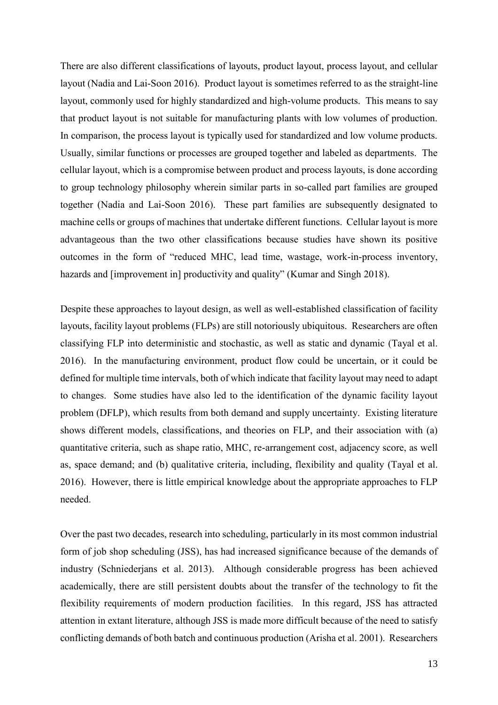There are also different classifications of layouts, product layout, process layout, and cellular layout (Nadia and Lai-Soon 2016). Product layout is sometimes referred to as the straight-line layout, commonly used for highly standardized and high-volume products. This means to say that product layout is not suitable for manufacturing plants with low volumes of production. In comparison, the process layout is typically used for standardized and low volume products. Usually, similar functions or processes are grouped together and labeled as departments. The cellular layout, which is a compromise between product and process layouts, is done according to group technology philosophy wherein similar parts in so-called part families are grouped together (Nadia and Lai-Soon 2016). These part families are subsequently designated to machine cells or groups of machines that undertake different functions. Cellular layout is more advantageous than the two other classifications because studies have shown its positive outcomes in the form of "reduced MHC, lead time, wastage, work-in-process inventory, hazards and [improvement in] productivity and quality" (Kumar and Singh 2018).

Despite these approaches to layout design, as well as well-established classification of facility layouts, facility layout problems (FLPs) are still notoriously ubiquitous. Researchers are often classifying FLP into deterministic and stochastic, as well as static and dynamic (Tayal et al. 2016). In the manufacturing environment, product flow could be uncertain, or it could be defined for multiple time intervals, both of which indicate that facility layout may need to adapt to changes. Some studies have also led to the identification of the dynamic facility layout problem (DFLP), which results from both demand and supply uncertainty. Existing literature shows different models, classifications, and theories on FLP, and their association with (a) quantitative criteria, such as shape ratio, MHC, re-arrangement cost, adjacency score, as well as, space demand; and (b) qualitative criteria, including, flexibility and quality (Tayal et al. 2016). However, there is little empirical knowledge about the appropriate approaches to FLP needed.

Over the past two decades, research into scheduling, particularly in its most common industrial form of job shop scheduling (JSS), has had increased significance because of the demands of industry (Schniederjans et al. 2013). Although considerable progress has been achieved academically, there are still persistent doubts about the transfer of the technology to fit the flexibility requirements of modern production facilities. In this regard, JSS has attracted attention in extant literature, although JSS is made more difficult because of the need to satisfy conflicting demands of both batch and continuous production (Arisha et al. 2001). Researchers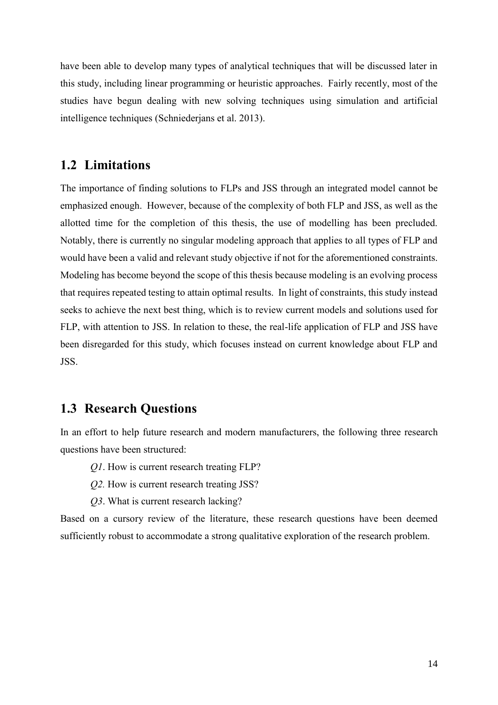have been able to develop many types of analytical techniques that will be discussed later in this study, including linear programming or heuristic approaches. Fairly recently, most of the studies have begun dealing with new solving techniques using simulation and artificial intelligence techniques (Schniederjans et al. 2013).

#### <span id="page-13-0"></span>**1.2 Limitations**

The importance of finding solutions to FLPs and JSS through an integrated model cannot be emphasized enough. However, because of the complexity of both FLP and JSS, as well as the allotted time for the completion of this thesis, the use of modelling has been precluded. Notably, there is currently no singular modeling approach that applies to all types of FLP and would have been a valid and relevant study objective if not for the aforementioned constraints. Modeling has become beyond the scope of this thesis because modeling is an evolving process that requires repeated testing to attain optimal results. In light of constraints, this study instead seeks to achieve the next best thing, which is to review current models and solutions used for FLP, with attention to JSS. In relation to these, the real-life application of FLP and JSS have been disregarded for this study, which focuses instead on current knowledge about FLP and JSS.

## <span id="page-13-1"></span>**1.3 Research Questions**

In an effort to help future research and modern manufacturers, the following three research questions have been structured:

*Q1*. How is current research treating FLP?

- *Q2.* How is current research treating JSS?
- *Q3*. What is current research lacking?

Based on a cursory review of the literature, these research questions have been deemed sufficiently robust to accommodate a strong qualitative exploration of the research problem.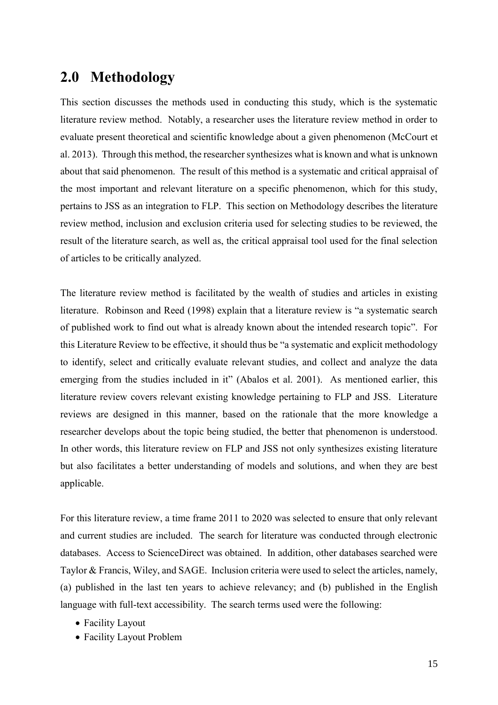## <span id="page-14-0"></span>**2.0 Methodology**

This section discusses the methods used in conducting this study, which is the systematic literature review method. Notably, a researcher uses the literature review method in order to evaluate present theoretical and scientific knowledge about a given phenomenon (McCourt et al. 2013). Through this method, the researcher synthesizes what is known and what is unknown about that said phenomenon. The result of this method is a systematic and critical appraisal of the most important and relevant literature on a specific phenomenon, which for this study, pertains to JSS as an integration to FLP. This section on Methodology describes the literature review method, inclusion and exclusion criteria used for selecting studies to be reviewed, the result of the literature search, as well as, the critical appraisal tool used for the final selection of articles to be critically analyzed.

The literature review method is facilitated by the wealth of studies and articles in existing literature. Robinson and Reed (1998) explain that a literature review is "a systematic search of published work to find out what is already known about the intended research topic". For this Literature Review to be effective, it should thus be "a systematic and explicit methodology to identify, select and critically evaluate relevant studies, and collect and analyze the data emerging from the studies included in it" (Abalos et al. 2001). As mentioned earlier, this literature review covers relevant existing knowledge pertaining to FLP and JSS. Literature reviews are designed in this manner, based on the rationale that the more knowledge a researcher develops about the topic being studied, the better that phenomenon is understood. In other words, this literature review on FLP and JSS not only synthesizes existing literature but also facilitates a better understanding of models and solutions, and when they are best applicable.

For this literature review, a time frame 2011 to 2020 was selected to ensure that only relevant and current studies are included. The search for literature was conducted through electronic databases. Access to ScienceDirect was obtained. In addition, other databases searched were Taylor & Francis, Wiley, and SAGE. Inclusion criteria were used to select the articles, namely, (a) published in the last ten years to achieve relevancy; and (b) published in the English language with full-text accessibility. The search terms used were the following:

- Facility Layout
- Facility Layout Problem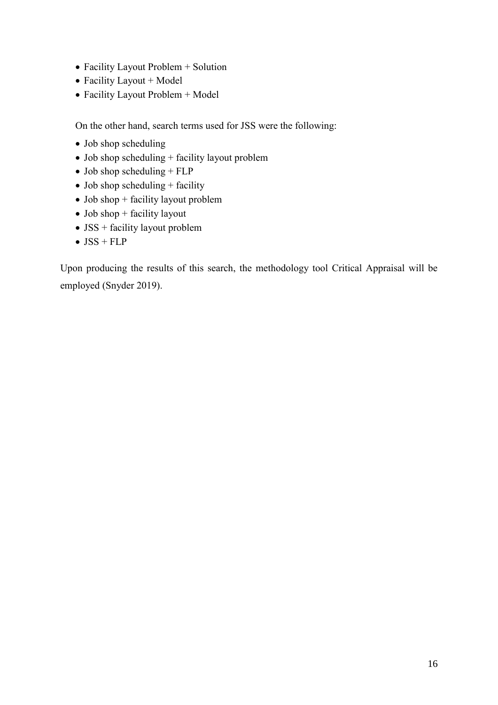- Facility Layout Problem + Solution
- Facility Layout + Model
- Facility Layout Problem + Model

On the other hand, search terms used for JSS were the following:

- Job shop scheduling
- Job shop scheduling + facility layout problem
- $\bullet$  Job shop scheduling + FLP
- Job shop scheduling + facility
- Job shop + facility layout problem
- $\bullet$  Job shop + facility layout
- JSS + facility layout problem
- $\bullet$  JSS + FLP

Upon producing the results of this search, the methodology tool Critical Appraisal will be employed (Snyder 2019).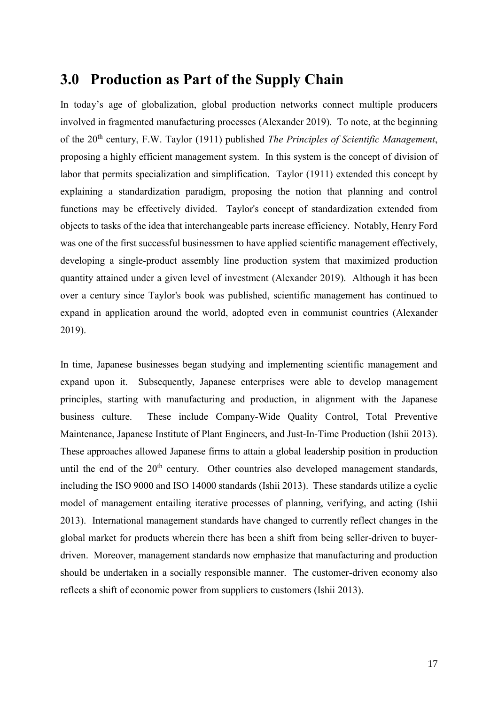## <span id="page-16-0"></span>**3.0 Production as Part of the Supply Chain**

In today's age of globalization, global production networks connect multiple producers involved in fragmented manufacturing processes (Alexander 2019). To note, at the beginning of the 20th century, F.W. Taylor (1911) published *The Principles of Scientific Management*, proposing a highly efficient management system. In this system is the concept of division of labor that permits specialization and simplification. Taylor (1911) extended this concept by explaining a standardization paradigm, proposing the notion that planning and control functions may be effectively divided. Taylor's concept of standardization extended from objects to tasks of the idea that interchangeable parts increase efficiency. Notably, Henry Ford was one of the first successful businessmen to have applied scientific management effectively, developing a single-product assembly line production system that maximized production quantity attained under a given level of investment (Alexander 2019). Although it has been over a century since Taylor's book was published, scientific management has continued to expand in application around the world, adopted even in communist countries (Alexander 2019).

In time, Japanese businesses began studying and implementing scientific management and expand upon it. Subsequently, Japanese enterprises were able to develop management principles, starting with manufacturing and production, in alignment with the Japanese business culture. These include Company-Wide Quality Control, Total Preventive Maintenance, Japanese Institute of Plant Engineers, and Just-In-Time Production (Ishii 2013). These approaches allowed Japanese firms to attain a global leadership position in production until the end of the  $20<sup>th</sup>$  century. Other countries also developed management standards, including the ISO 9000 and ISO 14000 standards (Ishii 2013). These standards utilize a cyclic model of management entailing iterative processes of planning, verifying, and acting (Ishii 2013). International management standards have changed to currently reflect changes in the global market for products wherein there has been a shift from being seller-driven to buyerdriven. Moreover, management standards now emphasize that manufacturing and production should be undertaken in a socially responsible manner. The customer-driven economy also reflects a shift of economic power from suppliers to customers (Ishii 2013).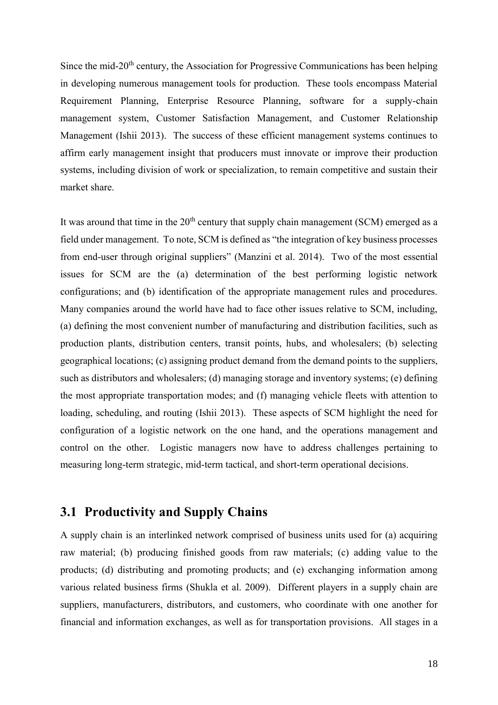Since the mid- $20<sup>th</sup>$  century, the Association for Progressive Communications has been helping in developing numerous management tools for production. These tools encompass Material Requirement Planning, Enterprise Resource Planning, software for a supply-chain management system, Customer Satisfaction Management, and Customer Relationship Management (Ishii 2013). The success of these efficient management systems continues to affirm early management insight that producers must innovate or improve their production systems, including division of work or specialization, to remain competitive and sustain their market share.

It was around that time in the  $20<sup>th</sup>$  century that supply chain management (SCM) emerged as a field under management. To note, SCM is defined as "the integration of key business processes from end-user through original suppliers" (Manzini et al. 2014). Two of the most essential issues for SCM are the (a) determination of the best performing logistic network configurations; and (b) identification of the appropriate management rules and procedures. Many companies around the world have had to face other issues relative to SCM, including, (a) defining the most convenient number of manufacturing and distribution facilities, such as production plants, distribution centers, transit points, hubs, and wholesalers; (b) selecting geographical locations; (c) assigning product demand from the demand points to the suppliers, such as distributors and wholesalers; (d) managing storage and inventory systems; (e) defining the most appropriate transportation modes; and (f) managing vehicle fleets with attention to loading, scheduling, and routing (Ishii 2013). These aspects of SCM highlight the need for configuration of a logistic network on the one hand, and the operations management and control on the other. Logistic managers now have to address challenges pertaining to measuring long-term strategic, mid-term tactical, and short-term operational decisions.

#### <span id="page-17-0"></span>**3.1 Productivity and Supply Chains**

A supply chain is an interlinked network comprised of business units used for (a) acquiring raw material; (b) producing finished goods from raw materials; (c) adding value to the products; (d) distributing and promoting products; and (e) exchanging information among various related business firms (Shukla et al. 2009). Different players in a supply chain are suppliers, manufacturers, distributors, and customers, who coordinate with one another for financial and information exchanges, as well as for transportation provisions. All stages in a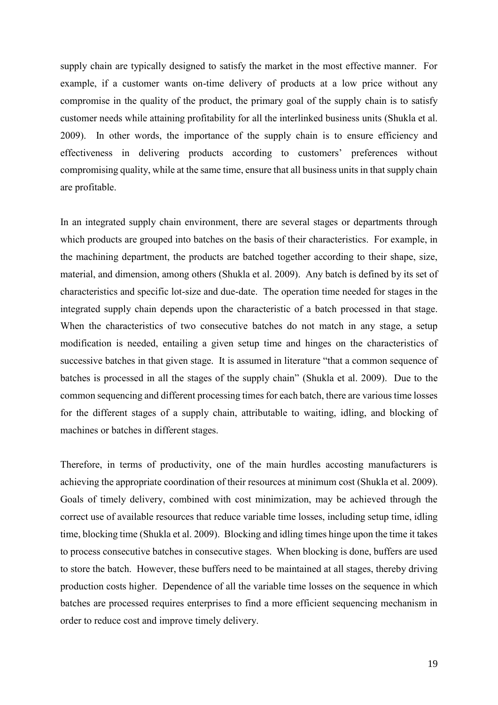supply chain are typically designed to satisfy the market in the most effective manner. For example, if a customer wants on-time delivery of products at a low price without any compromise in the quality of the product, the primary goal of the supply chain is to satisfy customer needs while attaining profitability for all the interlinked business units (Shukla et al. 2009). In other words, the importance of the supply chain is to ensure efficiency and effectiveness in delivering products according to customers' preferences without compromising quality, while at the same time, ensure that all business units in that supply chain are profitable.

In an integrated supply chain environment, there are several stages or departments through which products are grouped into batches on the basis of their characteristics. For example, in the machining department, the products are batched together according to their shape, size, material, and dimension, among others (Shukla et al. 2009). Any batch is defined by its set of characteristics and specific lot-size and due-date. The operation time needed for stages in the integrated supply chain depends upon the characteristic of a batch processed in that stage. When the characteristics of two consecutive batches do not match in any stage, a setup modification is needed, entailing a given setup time and hinges on the characteristics of successive batches in that given stage. It is assumed in literature "that a common sequence of batches is processed in all the stages of the supply chain" (Shukla et al. 2009). Due to the common sequencing and different processing times for each batch, there are various time losses for the different stages of a supply chain, attributable to waiting, idling, and blocking of machines or batches in different stages.

Therefore, in terms of productivity, one of the main hurdles accosting manufacturers is achieving the appropriate coordination of their resources at minimum cost (Shukla et al. 2009). Goals of timely delivery, combined with cost minimization, may be achieved through the correct use of available resources that reduce variable time losses, including setup time, idling time, blocking time (Shukla et al. 2009). Blocking and idling times hinge upon the time it takes to process consecutive batches in consecutive stages. When blocking is done, buffers are used to store the batch. However, these buffers need to be maintained at all stages, thereby driving production costs higher. Dependence of all the variable time losses on the sequence in which batches are processed requires enterprises to find a more efficient sequencing mechanism in order to reduce cost and improve timely delivery.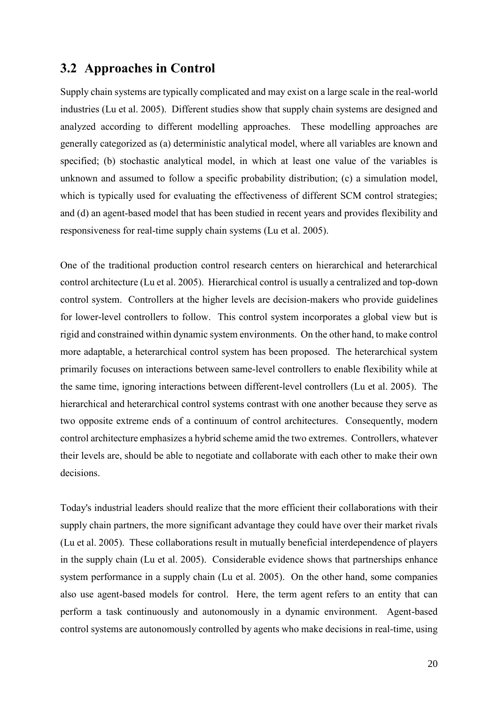## <span id="page-19-0"></span>**3.2 Approaches in Control**

Supply chain systems are typically complicated and may exist on a large scale in the real-world industries (Lu et al. 2005). Different studies show that supply chain systems are designed and analyzed according to different modelling approaches. These modelling approaches are generally categorized as (a) deterministic analytical model, where all variables are known and specified; (b) stochastic analytical model, in which at least one value of the variables is unknown and assumed to follow a specific probability distribution; (c) a simulation model, which is typically used for evaluating the effectiveness of different SCM control strategies; and (d) an agent-based model that has been studied in recent years and provides flexibility and responsiveness for real-time supply chain systems (Lu et al. 2005).

One of the traditional production control research centers on hierarchical and heterarchical control architecture (Lu et al. 2005). Hierarchical control is usually a centralized and top-down control system. Controllers at the higher levels are decision-makers who provide guidelines for lower-level controllers to follow. This control system incorporates a global view but is rigid and constrained within dynamic system environments. On the other hand, to make control more adaptable, a heterarchical control system has been proposed. The heterarchical system primarily focuses on interactions between same-level controllers to enable flexibility while at the same time, ignoring interactions between different-level controllers (Lu et al. 2005). The hierarchical and heterarchical control systems contrast with one another because they serve as two opposite extreme ends of a continuum of control architectures. Consequently, modern control architecture emphasizes a hybrid scheme amid the two extremes. Controllers, whatever their levels are, should be able to negotiate and collaborate with each other to make their own decisions.

Today's industrial leaders should realize that the more efficient their collaborations with their supply chain partners, the more significant advantage they could have over their market rivals (Lu et al. 2005). These collaborations result in mutually beneficial interdependence of players in the supply chain (Lu et al. 2005). Considerable evidence shows that partnerships enhance system performance in a supply chain (Lu et al. 2005). On the other hand, some companies also use agent-based models for control. Here, the term agent refers to an entity that can perform a task continuously and autonomously in a dynamic environment. Agent-based control systems are autonomously controlled by agents who make decisions in real-time, using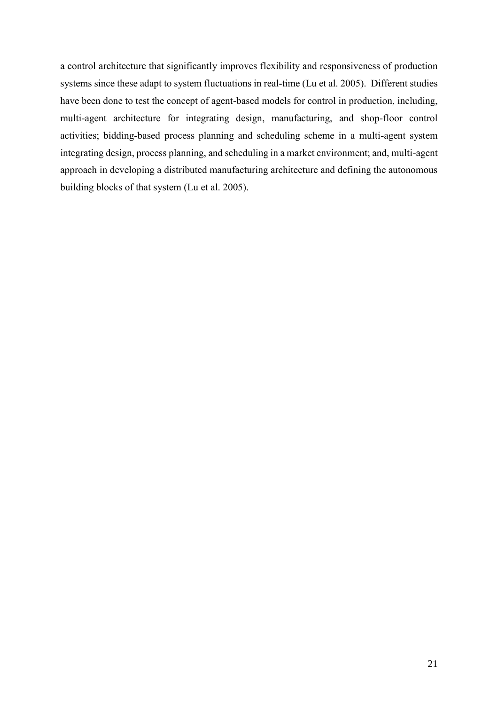a control architecture that significantly improves flexibility and responsiveness of production systems since these adapt to system fluctuations in real-time (Lu et al. 2005). Different studies have been done to test the concept of agent-based models for control in production, including, multi-agent architecture for integrating design, manufacturing, and shop-floor control activities; bidding-based process planning and scheduling scheme in a multi-agent system integrating design, process planning, and scheduling in a market environment; and, multi-agent approach in developing a distributed manufacturing architecture and defining the autonomous building blocks of that system (Lu et al. 2005).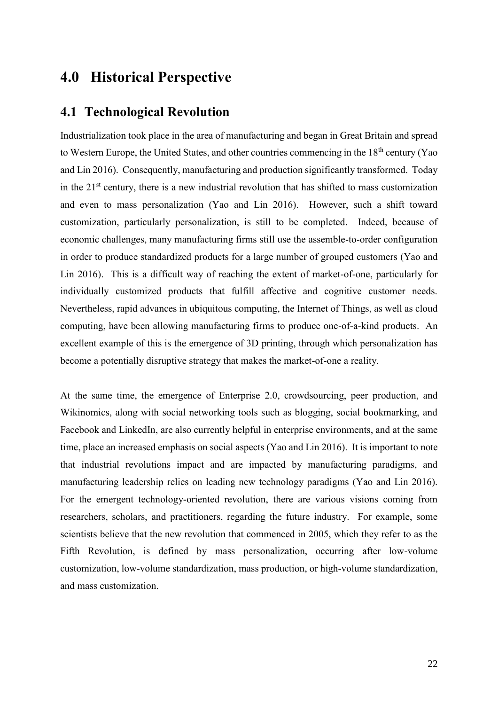## <span id="page-21-0"></span>**4.0 Historical Perspective**

## <span id="page-21-1"></span>**4.1 Technological Revolution**

Industrialization took place in the area of manufacturing and began in Great Britain and spread to Western Europe, the United States, and other countries commencing in the 18<sup>th</sup> century (Yao and Lin 2016). Consequently, manufacturing and production significantly transformed. Today in the  $21<sup>st</sup>$  century, there is a new industrial revolution that has shifted to mass customization and even to mass personalization (Yao and Lin 2016). However, such a shift toward customization, particularly personalization, is still to be completed. Indeed, because of economic challenges, many manufacturing firms still use the assemble-to-order configuration in order to produce standardized products for a large number of grouped customers (Yao and Lin 2016). This is a difficult way of reaching the extent of market-of-one, particularly for individually customized products that fulfill affective and cognitive customer needs. Nevertheless, rapid advances in ubiquitous computing, the Internet of Things, as well as cloud computing, have been allowing manufacturing firms to produce one-of-a-kind products. An excellent example of this is the emergence of 3D printing, through which personalization has become a potentially disruptive strategy that makes the market-of-one a reality.

At the same time, the emergence of Enterprise 2.0, crowdsourcing, peer production, and Wikinomics, along with social networking tools such as blogging, social bookmarking, and Facebook and LinkedIn, are also currently helpful in enterprise environments, and at the same time, place an increased emphasis on social aspects (Yao and Lin 2016). It is important to note that industrial revolutions impact and are impacted by manufacturing paradigms, and manufacturing leadership relies on leading new technology paradigms (Yao and Lin 2016). For the emergent technology-oriented revolution, there are various visions coming from researchers, scholars, and practitioners, regarding the future industry. For example, some scientists believe that the new revolution that commenced in 2005, which they refer to as the Fifth Revolution, is defined by mass personalization, occurring after low-volume customization, low-volume standardization, mass production, or high-volume standardization, and mass customization.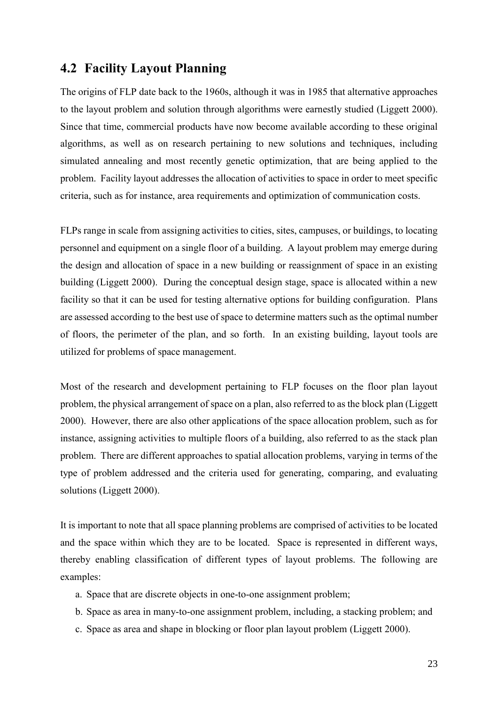### <span id="page-22-0"></span>**4.2 Facility Layout Planning**

The origins of FLP date back to the 1960s, although it was in 1985 that alternative approaches to the layout problem and solution through algorithms were earnestly studied (Liggett 2000). Since that time, commercial products have now become available according to these original algorithms, as well as on research pertaining to new solutions and techniques, including simulated annealing and most recently genetic optimization, that are being applied to the problem. Facility layout addresses the allocation of activities to space in order to meet specific criteria, such as for instance, area requirements and optimization of communication costs.

FLPs range in scale from assigning activities to cities, sites, campuses, or buildings, to locating personnel and equipment on a single floor of a building. A layout problem may emerge during the design and allocation of space in a new building or reassignment of space in an existing building (Liggett 2000). During the conceptual design stage, space is allocated within a new facility so that it can be used for testing alternative options for building configuration. Plans are assessed according to the best use of space to determine matters such as the optimal number of floors, the perimeter of the plan, and so forth. In an existing building, layout tools are utilized for problems of space management.

Most of the research and development pertaining to FLP focuses on the floor plan layout problem, the physical arrangement of space on a plan, also referred to as the block plan (Liggett 2000). However, there are also other applications of the space allocation problem, such as for instance, assigning activities to multiple floors of a building, also referred to as the stack plan problem. There are different approaches to spatial allocation problems, varying in terms of the type of problem addressed and the criteria used for generating, comparing, and evaluating solutions (Liggett 2000).

It is important to note that all space planning problems are comprised of activities to be located and the space within which they are to be located. Space is represented in different ways, thereby enabling classification of different types of layout problems. The following are examples:

- a. Space that are discrete objects in one-to-one assignment problem;
- b. Space as area in many-to-one assignment problem, including, a stacking problem; and
- c. Space as area and shape in blocking or floor plan layout problem (Liggett 2000).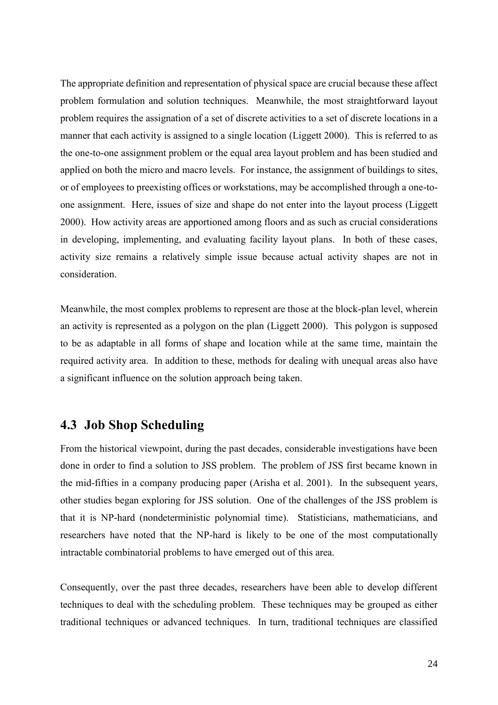The appropriate definition and representation of physical space are crucial because these affect problem formulation and solution techniques. Meanwhile, the most straightforward layout problem requires the assignation of a set of discrete activities to a set of discrete locations in a manner that each activity is assigned to a single location (Liggett 2000). This is referred to as the one-to-one assignment problem or the equal area layout problem and has been studied and applied on both the micro and macro levels. For instance, the assignment of buildings to sites, or of employees to preexisting offices or workstations, may be accomplished through a one-toone assignment. Here, issues of size and shape do not enter into the layout process (Liggett 2000). How activity areas are apportioned among floors and as such as crucial considerations in developing, implementing, and evaluating facility layout plans. In both of these cases, activity size remains a relatively simple issue because actual activity shapes are not in consideration.

Meanwhile, the most complex problems to represent are those at the block-plan level, wherein an activity is represented as a polygon on the plan (Liggett 2000). This polygon is supposed to be as adaptable in all forms of shape and location while at the same time, maintain the required activity area. In addition to these, methods for dealing with unequal areas also have a significant influence on the solution approach being taken.

## <span id="page-23-0"></span>**4.3 Job Shop Scheduling**

From the historical viewpoint, during the past decades, considerable investigations have been done in order to find a solution to JSS problem. The problem of JSS first became known in the mid-fifties in a company producing paper (Arisha et al. 2001). In the subsequent years, other studies began exploring for JSS solution. One of the challenges of the JSS problem is that it is NP-hard (nondeterministic polynomial time). Statisticians, mathematicians, and researchers have noted that the NP-hard is likely to be one of the most computationally intractable combinatorial problems to have emerged out of this area.

Consequently, over the past three decades, researchers have been able to develop different techniques to deal with the scheduling problem. These techniques may be grouped as either traditional techniques or advanced techniques. In turn, traditional techniques are classified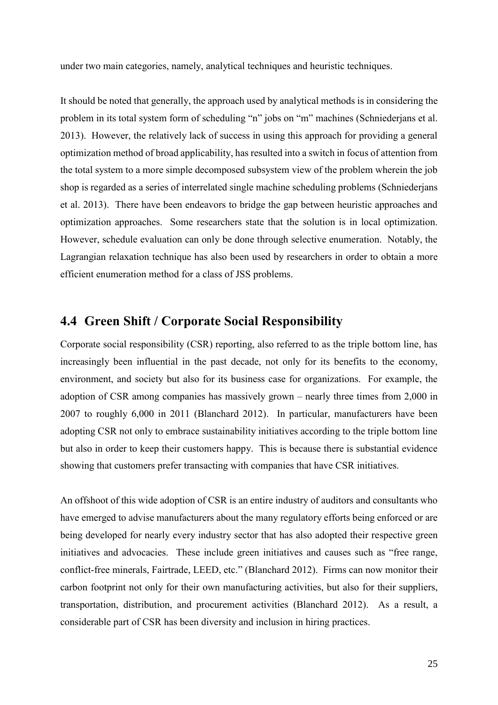under two main categories, namely, analytical techniques and heuristic techniques.

It should be noted that generally, the approach used by analytical methods is in considering the problem in its total system form of scheduling "n" jobs on "m" machines (Schniederjans et al. 2013). However, the relatively lack of success in using this approach for providing a general optimization method of broad applicability, has resulted into a switch in focus of attention from the total system to a more simple decomposed subsystem view of the problem wherein the job shop is regarded as a series of interrelated single machine scheduling problems (Schniederjans et al. 2013). There have been endeavors to bridge the gap between heuristic approaches and optimization approaches. Some researchers state that the solution is in local optimization. However, schedule evaluation can only be done through selective enumeration. Notably, the Lagrangian relaxation technique has also been used by researchers in order to obtain a more efficient enumeration method for a class of JSS problems.

## <span id="page-24-0"></span>**4.4 Green Shift / Corporate Social Responsibility**

Corporate social responsibility (CSR) reporting, also referred to as the triple bottom line, has increasingly been influential in the past decade, not only for its benefits to the economy, environment, and society but also for its business case for organizations. For example, the adoption of CSR among companies has massively grown – nearly three times from 2,000 in 2007 to roughly 6,000 in 2011 (Blanchard 2012). In particular, manufacturers have been adopting CSR not only to embrace sustainability initiatives according to the triple bottom line but also in order to keep their customers happy. This is because there is substantial evidence showing that customers prefer transacting with companies that have CSR initiatives.

An offshoot of this wide adoption of CSR is an entire industry of auditors and consultants who have emerged to advise manufacturers about the many regulatory efforts being enforced or are being developed for nearly every industry sector that has also adopted their respective green initiatives and advocacies. These include green initiatives and causes such as "free range, conflict-free minerals, Fairtrade, LEED, etc." (Blanchard 2012). Firms can now monitor their carbon footprint not only for their own manufacturing activities, but also for their suppliers, transportation, distribution, and procurement activities (Blanchard 2012). As a result, a considerable part of CSR has been diversity and inclusion in hiring practices.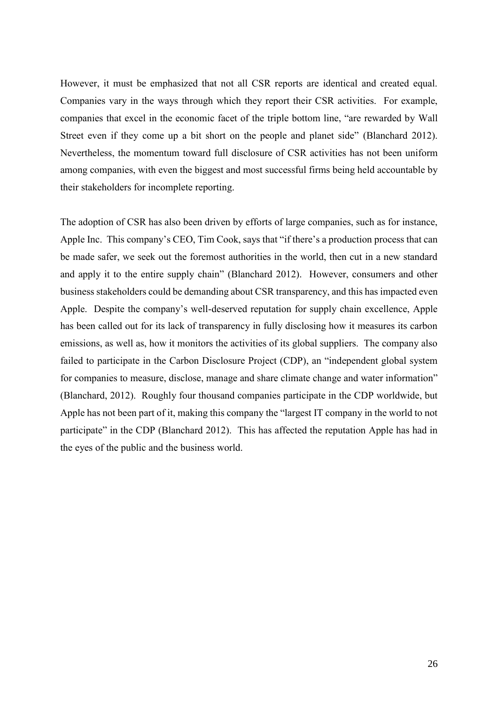However, it must be emphasized that not all CSR reports are identical and created equal. Companies vary in the ways through which they report their CSR activities. For example, companies that excel in the economic facet of the triple bottom line, "are rewarded by Wall Street even if they come up a bit short on the people and planet side" (Blanchard 2012). Nevertheless, the momentum toward full disclosure of CSR activities has not been uniform among companies, with even the biggest and most successful firms being held accountable by their stakeholders for incomplete reporting.

The adoption of CSR has also been driven by efforts of large companies, such as for instance, Apple Inc. This company's CEO, Tim Cook, says that "if there's a production process that can be made safer, we seek out the foremost authorities in the world, then cut in a new standard and apply it to the entire supply chain" (Blanchard 2012). However, consumers and other business stakeholders could be demanding about CSR transparency, and this has impacted even Apple. Despite the company's well-deserved reputation for supply chain excellence, Apple has been called out for its lack of transparency in fully disclosing how it measures its carbon emissions, as well as, how it monitors the activities of its global suppliers. The company also failed to participate in the Carbon Disclosure Project (CDP), an "independent global system for companies to measure, disclose, manage and share climate change and water information" (Blanchard, 2012). Roughly four thousand companies participate in the CDP worldwide, but Apple has not been part of it, making this company the "largest IT company in the world to not participate" in the CDP (Blanchard 2012). This has affected the reputation Apple has had in the eyes of the public and the business world.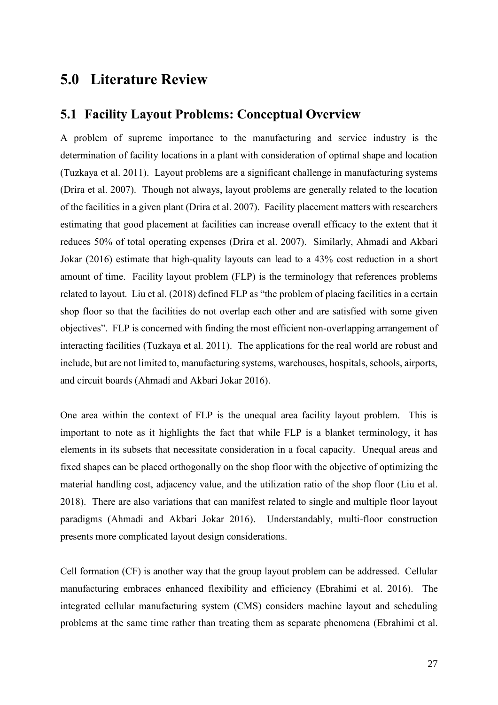## <span id="page-26-0"></span>**5.0 Literature Review**

#### <span id="page-26-1"></span>**5.1 Facility Layout Problems: Conceptual Overview**

A problem of supreme importance to the manufacturing and service industry is the determination of facility locations in a plant with consideration of optimal shape and location (Tuzkaya et al. 2011). Layout problems are a significant challenge in manufacturing systems (Drira et al. 2007). Though not always, layout problems are generally related to the location of the facilities in a given plant (Drira et al. 2007). Facility placement matters with researchers estimating that good placement at facilities can increase overall efficacy to the extent that it reduces 50% of total operating expenses (Drira et al. 2007). Similarly, Ahmadi and Akbari Jokar (2016) estimate that high-quality layouts can lead to a 43% cost reduction in a short amount of time. Facility layout problem (FLP) is the terminology that references problems related to layout. Liu et al. (2018) defined FLP as "the problem of placing facilities in a certain shop floor so that the facilities do not overlap each other and are satisfied with some given objectives". FLP is concerned with finding the most efficient non-overlapping arrangement of interacting facilities (Tuzkaya et al. 2011). The applications for the real world are robust and include, but are not limited to, manufacturing systems, warehouses, hospitals, schools, airports, and circuit boards (Ahmadi and Akbari Jokar 2016).

One area within the context of FLP is the unequal area facility layout problem. This is important to note as it highlights the fact that while FLP is a blanket terminology, it has elements in its subsets that necessitate consideration in a focal capacity. Unequal areas and fixed shapes can be placed orthogonally on the shop floor with the objective of optimizing the material handling cost, adjacency value, and the utilization ratio of the shop floor (Liu et al. 2018). There are also variations that can manifest related to single and multiple floor layout paradigms (Ahmadi and Akbari Jokar 2016). Understandably, multi-floor construction presents more complicated layout design considerations.

Cell formation (CF) is another way that the group layout problem can be addressed. Cellular manufacturing embraces enhanced flexibility and efficiency (Ebrahimi et al. 2016). The integrated cellular manufacturing system (CMS) considers machine layout and scheduling problems at the same time rather than treating them as separate phenomena (Ebrahimi et al.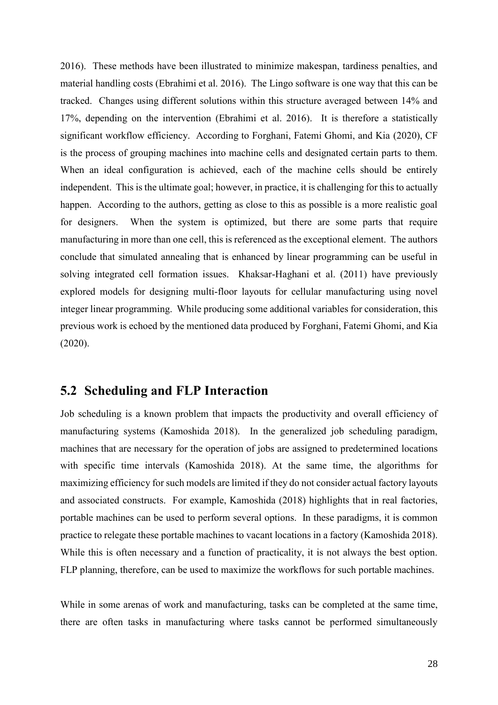2016). These methods have been illustrated to minimize makespan, tardiness penalties, and material handling costs (Ebrahimi et al. 2016). The Lingo software is one way that this can be tracked. Changes using different solutions within this structure averaged between 14% and 17%, depending on the intervention (Ebrahimi et al. 2016). It is therefore a statistically significant workflow efficiency. According to Forghani, Fatemi Ghomi, and Kia (2020), CF is the process of grouping machines into machine cells and designated certain parts to them. When an ideal configuration is achieved, each of the machine cells should be entirely independent. This is the ultimate goal; however, in practice, it is challenging for this to actually happen. According to the authors, getting as close to this as possible is a more realistic goal for designers. When the system is optimized, but there are some parts that require manufacturing in more than one cell, this is referenced as the exceptional element. The authors conclude that simulated annealing that is enhanced by linear programming can be useful in solving integrated cell formation issues. Khaksar-Haghani et al. (2011) have previously explored models for designing multi-floor layouts for cellular manufacturing using novel integer linear programming. While producing some additional variables for consideration, this previous work is echoed by the mentioned data produced by Forghani, Fatemi Ghomi, and Kia (2020).

#### <span id="page-27-0"></span>**5.2 Scheduling and FLP Interaction**

Job scheduling is a known problem that impacts the productivity and overall efficiency of manufacturing systems (Kamoshida 2018). In the generalized job scheduling paradigm, machines that are necessary for the operation of jobs are assigned to predetermined locations with specific time intervals (Kamoshida 2018). At the same time, the algorithms for maximizing efficiency for such models are limited if they do not consider actual factory layouts and associated constructs. For example, Kamoshida (2018) highlights that in real factories, portable machines can be used to perform several options. In these paradigms, it is common practice to relegate these portable machines to vacant locations in a factory (Kamoshida 2018). While this is often necessary and a function of practicality, it is not always the best option. FLP planning, therefore, can be used to maximize the workflows for such portable machines.

While in some arenas of work and manufacturing, tasks can be completed at the same time, there are often tasks in manufacturing where tasks cannot be performed simultaneously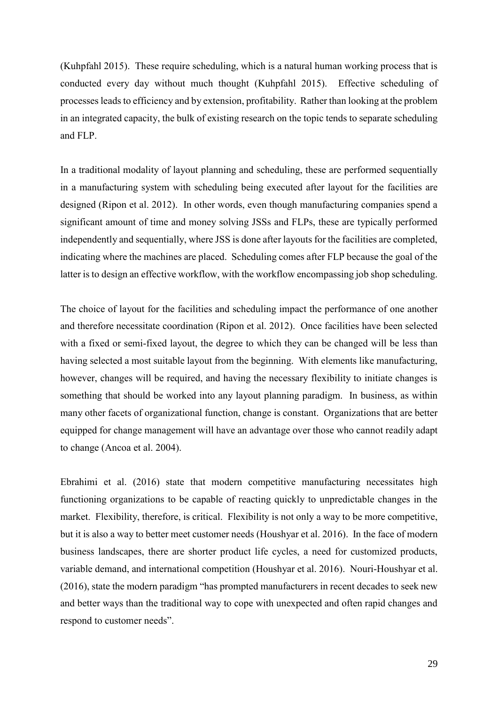(Kuhpfahl 2015). These require scheduling, which is a natural human working process that is conducted every day without much thought (Kuhpfahl 2015). Effective scheduling of processes leads to efficiency and by extension, profitability. Rather than looking at the problem in an integrated capacity, the bulk of existing research on the topic tends to separate scheduling and FLP.

In a traditional modality of layout planning and scheduling, these are performed sequentially in a manufacturing system with scheduling being executed after layout for the facilities are designed (Ripon et al. 2012). In other words, even though manufacturing companies spend a significant amount of time and money solving JSSs and FLPs, these are typically performed independently and sequentially, where JSS is done after layouts for the facilities are completed, indicating where the machines are placed. Scheduling comes after FLP because the goal of the latter is to design an effective workflow, with the workflow encompassing job shop scheduling.

The choice of layout for the facilities and scheduling impact the performance of one another and therefore necessitate coordination (Ripon et al. 2012). Once facilities have been selected with a fixed or semi-fixed layout, the degree to which they can be changed will be less than having selected a most suitable layout from the beginning. With elements like manufacturing, however, changes will be required, and having the necessary flexibility to initiate changes is something that should be worked into any layout planning paradigm. In business, as within many other facets of organizational function, change is constant. Organizations that are better equipped for change management will have an advantage over those who cannot readily adapt to change (Ancoa et al. 2004).

Ebrahimi et al. (2016) state that modern competitive manufacturing necessitates high functioning organizations to be capable of reacting quickly to unpredictable changes in the market. Flexibility, therefore, is critical. Flexibility is not only a way to be more competitive, but it is also a way to better meet customer needs (Houshyar et al. 2016). In the face of modern business landscapes, there are shorter product life cycles, a need for customized products, variable demand, and international competition (Houshyar et al. 2016). Nouri-Houshyar et al. (2016), state the modern paradigm "has prompted manufacturers in recent decades to seek new and better ways than the traditional way to cope with unexpected and often rapid changes and respond to customer needs".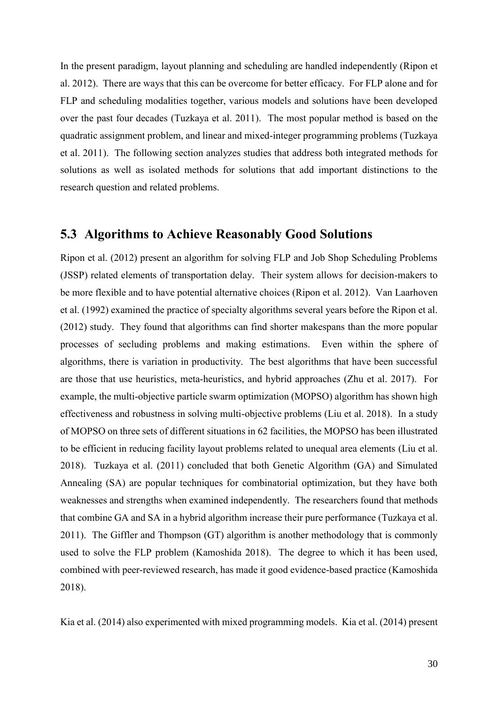In the present paradigm, layout planning and scheduling are handled independently (Ripon et al. 2012). There are ways that this can be overcome for better efficacy. For FLP alone and for FLP and scheduling modalities together, various models and solutions have been developed over the past four decades (Tuzkaya et al. 2011). The most popular method is based on the quadratic assignment problem, and linear and mixed-integer programming problems (Tuzkaya et al. 2011). The following section analyzes studies that address both integrated methods for solutions as well as isolated methods for solutions that add important distinctions to the research question and related problems.

### <span id="page-29-0"></span>**5.3 Algorithms to Achieve Reasonably Good Solutions**

Ripon et al. (2012) present an algorithm for solving FLP and Job Shop Scheduling Problems (JSSP) related elements of transportation delay. Their system allows for decision-makers to be more flexible and to have potential alternative choices (Ripon et al. 2012). Van Laarhoven et al. (1992) examined the practice of specialty algorithms several years before the Ripon et al. (2012) study. They found that algorithms can find shorter makespans than the more popular processes of secluding problems and making estimations. Even within the sphere of algorithms, there is variation in productivity. The best algorithms that have been successful are those that use heuristics, meta-heuristics, and hybrid approaches (Zhu et al. 2017). For example, the multi-objective particle swarm optimization (MOPSO) algorithm has shown high effectiveness and robustness in solving multi-objective problems (Liu et al. 2018). In a study of MOPSO on three sets of different situations in 62 facilities, the MOPSO has been illustrated to be efficient in reducing facility layout problems related to unequal area elements (Liu et al. 2018). Tuzkaya et al. (2011) concluded that both Genetic Algorithm (GA) and Simulated Annealing (SA) are popular techniques for combinatorial optimization, but they have both weaknesses and strengths when examined independently. The researchers found that methods that combine GA and SA in a hybrid algorithm increase their pure performance (Tuzkaya et al. 2011). The Giffler and Thompson (GT) algorithm is another methodology that is commonly used to solve the FLP problem (Kamoshida 2018). The degree to which it has been used, combined with peer-reviewed research, has made it good evidence-based practice (Kamoshida 2018).

Kia et al. (2014) also experimented with mixed programming models. Kia et al. (2014) present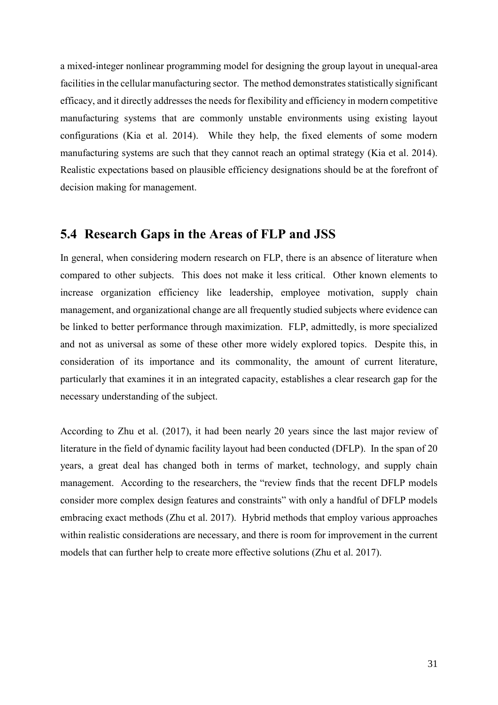a mixed-integer nonlinear programming model for designing the group layout in unequal-area facilities in the cellular manufacturing sector. The method demonstrates statistically significant efficacy, and it directly addresses the needs for flexibility and efficiency in modern competitive manufacturing systems that are commonly unstable environments using existing layout configurations (Kia et al. 2014). While they help, the fixed elements of some modern manufacturing systems are such that they cannot reach an optimal strategy (Kia et al. 2014). Realistic expectations based on plausible efficiency designations should be at the forefront of decision making for management.

## <span id="page-30-0"></span>**5.4 Research Gaps in the Areas of FLP and JSS**

In general, when considering modern research on FLP, there is an absence of literature when compared to other subjects. This does not make it less critical. Other known elements to increase organization efficiency like leadership, employee motivation, supply chain management, and organizational change are all frequently studied subjects where evidence can be linked to better performance through maximization. FLP, admittedly, is more specialized and not as universal as some of these other more widely explored topics. Despite this, in consideration of its importance and its commonality, the amount of current literature, particularly that examines it in an integrated capacity, establishes a clear research gap for the necessary understanding of the subject.

According to Zhu et al. (2017), it had been nearly 20 years since the last major review of literature in the field of dynamic facility layout had been conducted (DFLP). In the span of 20 years, a great deal has changed both in terms of market, technology, and supply chain management. According to the researchers, the "review finds that the recent DFLP models consider more complex design features and constraints" with only a handful of DFLP models embracing exact methods (Zhu et al. 2017). Hybrid methods that employ various approaches within realistic considerations are necessary, and there is room for improvement in the current models that can further help to create more effective solutions (Zhu et al. 2017).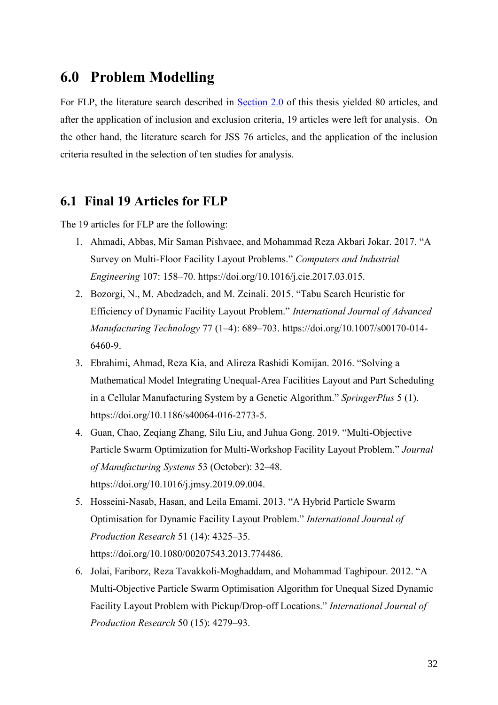## <span id="page-31-0"></span>**6.0 Problem Modelling**

For FLP, the literature search described in [Section 2.0](#page-14-0) of this thesis yielded 80 articles, and after the application of inclusion and exclusion criteria, 19 articles were left for analysis. On the other hand, the literature search for JSS 76 articles, and the application of the inclusion criteria resulted in the selection of ten studies for analysis.

## <span id="page-31-1"></span>**6.1 Final 19 Articles for FLP**

The 19 articles for FLP are the following:

- 1. Ahmadi, Abbas, Mir Saman Pishvaee, and Mohammad Reza Akbari Jokar. 2017. "A Survey on Multi-Floor Facility Layout Problems." *Computers and Industrial Engineering* 107: 158–70. https://doi.org/10.1016/j.cie.2017.03.015.
- 2. Bozorgi, N., M. Abedzadeh, and M. Zeinali. 2015. "Tabu Search Heuristic for Efficiency of Dynamic Facility Layout Problem." *International Journal of Advanced Manufacturing Technology* 77 (1–4): 689–703. https://doi.org/10.1007/s00170-014- 6460-9.
- 3. Ebrahimi, Ahmad, Reza Kia, and Alireza Rashidi Komijan. 2016. "Solving a Mathematical Model Integrating Unequal-Area Facilities Layout and Part Scheduling in a Cellular Manufacturing System by a Genetic Algorithm." *SpringerPlus* 5 (1). https://doi.org/10.1186/s40064-016-2773-5.
- 4. Guan, Chao, Zeqiang Zhang, Silu Liu, and Juhua Gong. 2019. "Multi-Objective Particle Swarm Optimization for Multi-Workshop Facility Layout Problem." *Journal of Manufacturing Systems* 53 (October): 32–48. https://doi.org/10.1016/j.jmsy.2019.09.004.
- 5. Hosseini-Nasab, Hasan, and Leila Emami. 2013. "A Hybrid Particle Swarm Optimisation for Dynamic Facility Layout Problem." *International Journal of Production Research* 51 (14): 4325–35. https://doi.org/10.1080/00207543.2013.774486.
- 6. Jolai, Fariborz, Reza Tavakkoli-Moghaddam, and Mohammad Taghipour. 2012. "A Multi-Objective Particle Swarm Optimisation Algorithm for Unequal Sized Dynamic Facility Layout Problem with Pickup/Drop-off Locations." *International Journal of Production Research* 50 (15): 4279–93.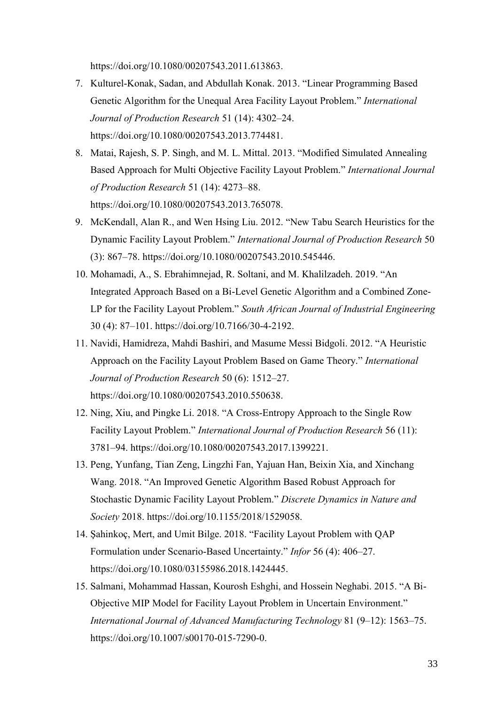https://doi.org/10.1080/00207543.2011.613863.

- 7. Kulturel-Konak, Sadan, and Abdullah Konak. 2013. "Linear Programming Based Genetic Algorithm for the Unequal Area Facility Layout Problem." *International Journal of Production Research* 51 (14): 4302–24. https://doi.org/10.1080/00207543.2013.774481.
- 8. Matai, Rajesh, S. P. Singh, and M. L. Mittal. 2013. "Modified Simulated Annealing Based Approach for Multi Objective Facility Layout Problem." *International Journal of Production Research* 51 (14): 4273–88. https://doi.org/10.1080/00207543.2013.765078.
- 9. McKendall, Alan R., and Wen Hsing Liu. 2012. "New Tabu Search Heuristics for the Dynamic Facility Layout Problem." *International Journal of Production Research* 50 (3): 867–78. https://doi.org/10.1080/00207543.2010.545446.
- 10. Mohamadi, A., S. Ebrahimnejad, R. Soltani, and M. Khalilzadeh. 2019. "An Integrated Approach Based on a Bi-Level Genetic Algorithm and a Combined Zone-LP for the Facility Layout Problem." *South African Journal of Industrial Engineering* 30 (4): 87–101. https://doi.org/10.7166/30-4-2192.
- 11. Navidi, Hamidreza, Mahdi Bashiri, and Masume Messi Bidgoli. 2012. "A Heuristic Approach on the Facility Layout Problem Based on Game Theory." *International Journal of Production Research* 50 (6): 1512–27. https://doi.org/10.1080/00207543.2010.550638.
- 12. Ning, Xiu, and Pingke Li. 2018. "A Cross-Entropy Approach to the Single Row Facility Layout Problem." *International Journal of Production Research* 56 (11): 3781–94. https://doi.org/10.1080/00207543.2017.1399221.
- 13. Peng, Yunfang, Tian Zeng, Lingzhi Fan, Yajuan Han, Beixin Xia, and Xinchang Wang. 2018. "An Improved Genetic Algorithm Based Robust Approach for Stochastic Dynamic Facility Layout Problem." *Discrete Dynamics in Nature and Society* 2018. https://doi.org/10.1155/2018/1529058.
- 14. Şahinkoç, Mert, and Umit Bilge. 2018. "Facility Layout Problem with QAP Formulation under Scenario-Based Uncertainty." *Infor* 56 (4): 406–27. https://doi.org/10.1080/03155986.2018.1424445.
- 15. Salmani, Mohammad Hassan, Kourosh Eshghi, and Hossein Neghabi. 2015. "A Bi-Objective MIP Model for Facility Layout Problem in Uncertain Environment." *International Journal of Advanced Manufacturing Technology* 81 (9–12): 1563–75. https://doi.org/10.1007/s00170-015-7290-0.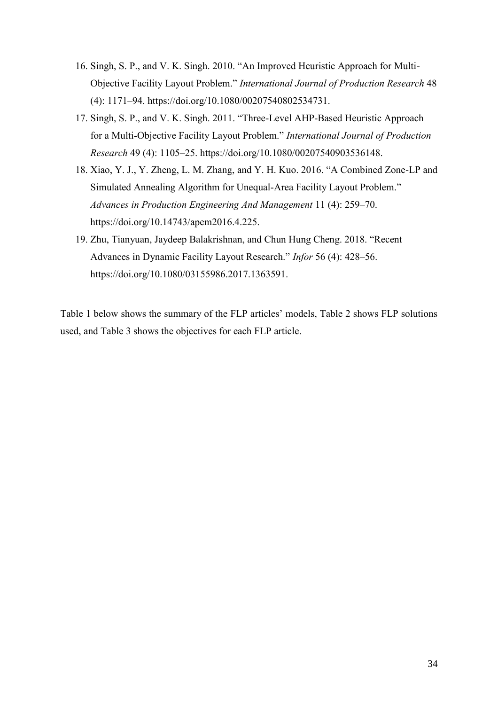- 16. Singh, S. P., and V. K. Singh. 2010. "An Improved Heuristic Approach for Multi-Objective Facility Layout Problem." *International Journal of Production Research* 48 (4): 1171–94. https://doi.org/10.1080/00207540802534731.
- 17. Singh, S. P., and V. K. Singh. 2011. "Three-Level AHP-Based Heuristic Approach for a Multi-Objective Facility Layout Problem." *International Journal of Production Research* 49 (4): 1105–25. https://doi.org/10.1080/00207540903536148.
- 18. Xiao, Y. J., Y. Zheng, L. M. Zhang, and Y. H. Kuo. 2016. "A Combined Zone-LP and Simulated Annealing Algorithm for Unequal-Area Facility Layout Problem." *Advances in Production Engineering And Management* 11 (4): 259–70. https://doi.org/10.14743/apem2016.4.225.
- 19. Zhu, Tianyuan, Jaydeep Balakrishnan, and Chun Hung Cheng. 2018. "Recent Advances in Dynamic Facility Layout Research." *Infor* 56 (4): 428–56. https://doi.org/10.1080/03155986.2017.1363591.

Table 1 below shows the summary of the FLP articles' models, Table 2 shows FLP solutions used, and Table 3 shows the objectives for each FLP article.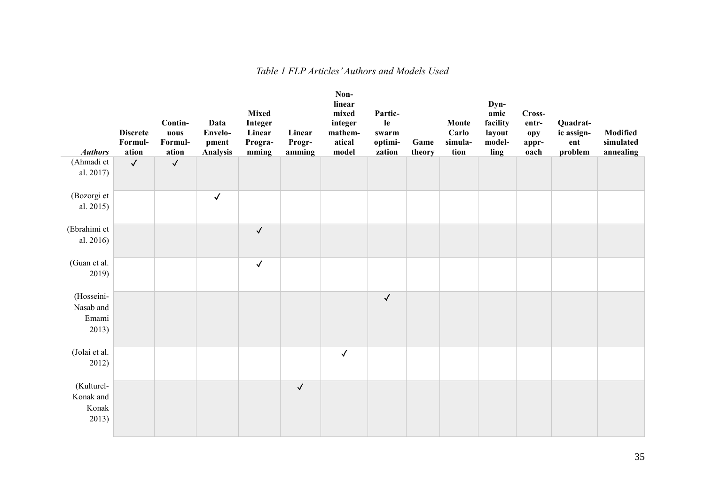<span id="page-34-0"></span>

| <b>Authors</b>                            | <b>Discrete</b><br>Formul-<br>ation | Contin-<br>uous<br>Formul-<br>ation | Data<br>Envelo-<br>pment<br><b>Analysis</b> | <b>Mixed</b><br>Integer<br>Linear<br>Progra-<br>mming | Linear<br>Progr-<br>amming | Non-<br>linear<br>mixed<br>integer<br>mathem-<br>atical<br>model | Partic-<br>le<br>swarm<br>optimi-<br>zation | Game<br>theory | Monte<br>Carlo<br>simula-<br>tion | Dyn-<br>amic<br>facility<br>layout<br>model-<br>ling | Cross-<br>entr-<br>opy<br>appr-<br>oach | Quadrat-<br>ic assign-<br>ent<br>problem | Modified<br>simulated<br>annealing |
|-------------------------------------------|-------------------------------------|-------------------------------------|---------------------------------------------|-------------------------------------------------------|----------------------------|------------------------------------------------------------------|---------------------------------------------|----------------|-----------------------------------|------------------------------------------------------|-----------------------------------------|------------------------------------------|------------------------------------|
| (Ahmadi et<br>al. 2017)                   | $\checkmark$                        | $\checkmark$                        |                                             |                                                       |                            |                                                                  |                                             |                |                                   |                                                      |                                         |                                          |                                    |
| (Bozorgi et<br>al. 2015)                  |                                     |                                     | $\checkmark$                                |                                                       |                            |                                                                  |                                             |                |                                   |                                                      |                                         |                                          |                                    |
| (Ebrahimi et<br>al. 2016)                 |                                     |                                     |                                             | $\checkmark$                                          |                            |                                                                  |                                             |                |                                   |                                                      |                                         |                                          |                                    |
| (Guan et al.<br>2019)                     |                                     |                                     |                                             | $\checkmark$                                          |                            |                                                                  |                                             |                |                                   |                                                      |                                         |                                          |                                    |
| (Hosseini-<br>Nasab and<br>Emami<br>2013) |                                     |                                     |                                             |                                                       |                            |                                                                  | $\checkmark$                                |                |                                   |                                                      |                                         |                                          |                                    |
| (Jolai et al.<br>2012)                    |                                     |                                     |                                             |                                                       |                            | $\checkmark$                                                     |                                             |                |                                   |                                                      |                                         |                                          |                                    |
| (Kulturel-<br>Konak and<br>Konak<br>2013) |                                     |                                     |                                             |                                                       | $\checkmark$               |                                                                  |                                             |                |                                   |                                                      |                                         |                                          |                                    |

#### *Table 1 FLP Articles' Authors and Models Used*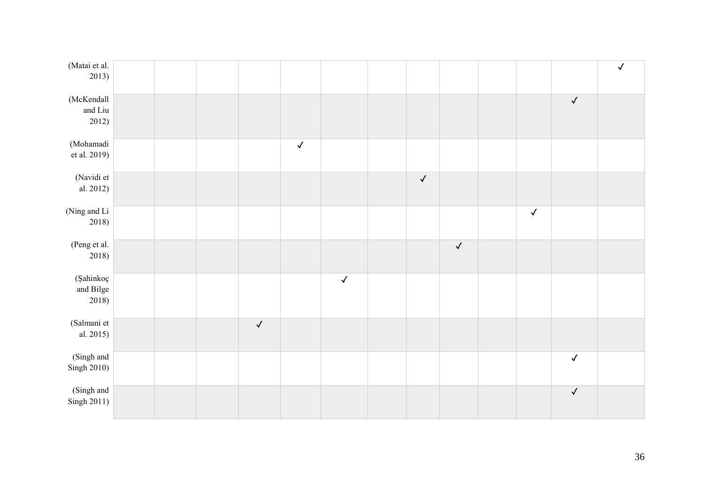| (Matai et al.<br>2013)          |  |              |              |              |              |              |              |              | $\checkmark$ |
|---------------------------------|--|--------------|--------------|--------------|--------------|--------------|--------------|--------------|--------------|
|                                 |  |              |              |              |              |              |              |              |              |
| (McKendall<br>and Liu<br>2012)  |  |              |              |              |              |              |              | $\checkmark$ |              |
| (Mohamadi<br>et al. 2019)       |  |              | $\checkmark$ |              |              |              |              |              |              |
| (Navidi et<br>al. 2012)         |  |              |              |              | $\checkmark$ |              |              |              |              |
| (Ning and Li<br>2018)           |  |              |              |              |              |              | $\checkmark$ |              |              |
| (Peng et al.<br>2018)           |  |              |              |              |              | $\checkmark$ |              |              |              |
| (Şahinkoç<br>and Bilge<br>2018) |  |              |              | $\checkmark$ |              |              |              |              |              |
| (Salmani et<br>al. 2015)        |  | $\checkmark$ |              |              |              |              |              |              |              |
| (Singh and<br>Singh 2010)       |  |              |              |              |              |              |              | $\checkmark$ |              |
| (Singh and<br>Singh 2011)       |  |              |              |              |              |              |              | $\checkmark$ |              |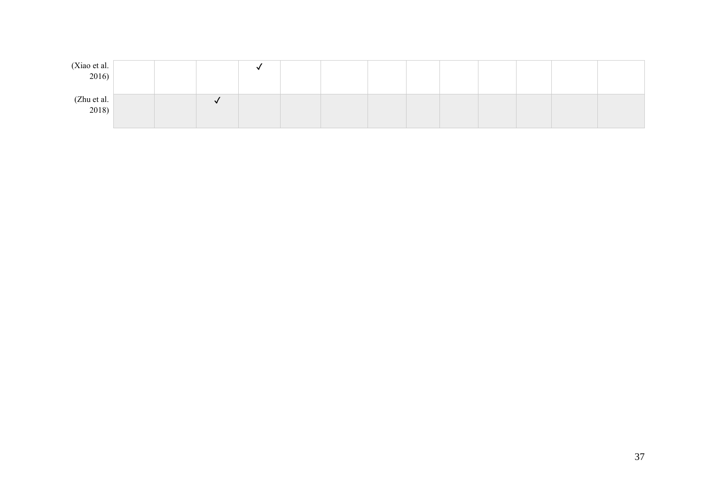| (Xiao et al. 2016)                                          |  |  |  |  |  |  |  |
|-------------------------------------------------------------|--|--|--|--|--|--|--|
| $\begin{array}{c} \text{(Zhu et al.)} \\ 2018) \end{array}$ |  |  |  |  |  |  |  |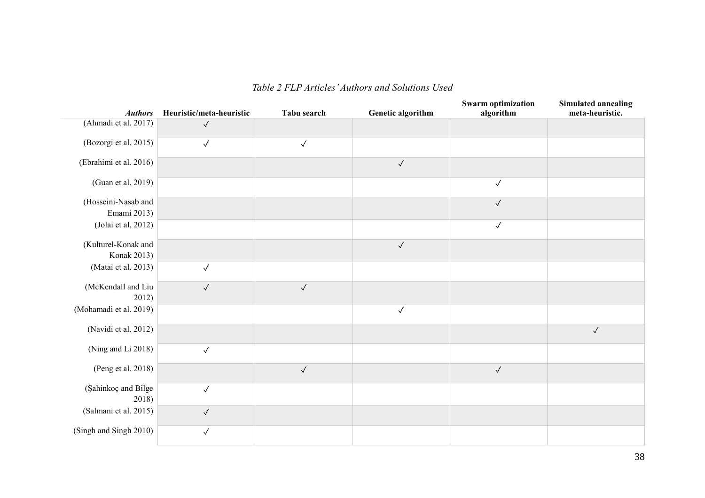<span id="page-37-0"></span>

| <b>Authors</b>                     | Heuristic/meta-heuristic | Tabu search  | <b>Genetic algorithm</b> | <b>Swarm optimization</b><br>algorithm | <b>Simulated annealing</b><br>meta-heuristic. |
|------------------------------------|--------------------------|--------------|--------------------------|----------------------------------------|-----------------------------------------------|
| (Ahmadi et al. 2017)               | $\checkmark$             |              |                          |                                        |                                               |
| (Bozorgi et al. 2015)              | $\checkmark$             | $\checkmark$ |                          |                                        |                                               |
| (Ebrahimi et al. 2016)             |                          |              | $\checkmark$             |                                        |                                               |
| (Guan et al. 2019)                 |                          |              |                          | $\checkmark$                           |                                               |
| (Hosseini-Nasab and<br>Emami 2013) |                          |              |                          | $\checkmark$                           |                                               |
| (Jolai et al. 2012)                |                          |              |                          | $\checkmark$                           |                                               |
| (Kulturel-Konak and<br>Konak 2013) |                          |              | $\checkmark$             |                                        |                                               |
| (Matai et al. 2013)                | $\checkmark$             |              |                          |                                        |                                               |
| (McKendall and Liu<br>2012)        | $\checkmark$             | $\checkmark$ |                          |                                        |                                               |
| (Mohamadi et al. 2019)             |                          |              | $\checkmark$             |                                        |                                               |
| (Navidi et al. 2012)               |                          |              |                          |                                        | $\checkmark$                                  |
| (Ning and Li 2018)                 | $\checkmark$             |              |                          |                                        |                                               |
| (Peng et al. 2018)                 |                          | $\checkmark$ |                          | $\checkmark$                           |                                               |
| (Şahinkoç and Bilge<br>2018)       | $\checkmark$             |              |                          |                                        |                                               |
| (Salmani et al. 2015)              | $\checkmark$             |              |                          |                                        |                                               |
| (Singh and Singh 2010)             | $\checkmark$             |              |                          |                                        |                                               |

#### *Table 2 FLP Articles' Authors and Solutions Used*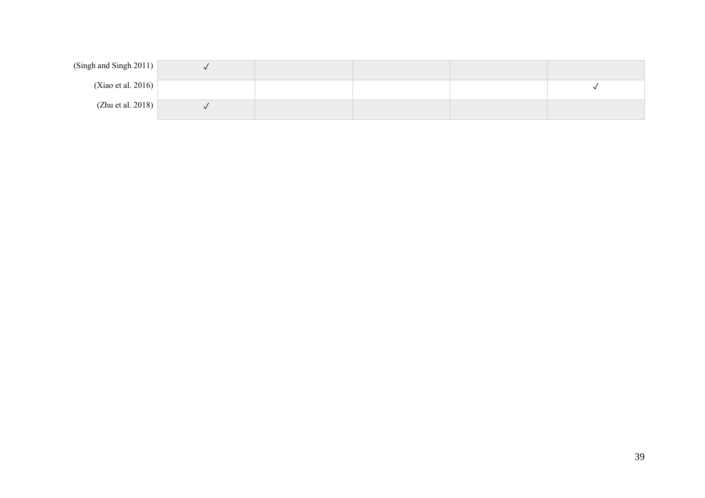| (Singh and Singh 2011) $\vert$ |  |  |  |
|--------------------------------|--|--|--|
| (Xiao et al. 2016) $\vert$     |  |  |  |
| (Zhu et al. 2018)              |  |  |  |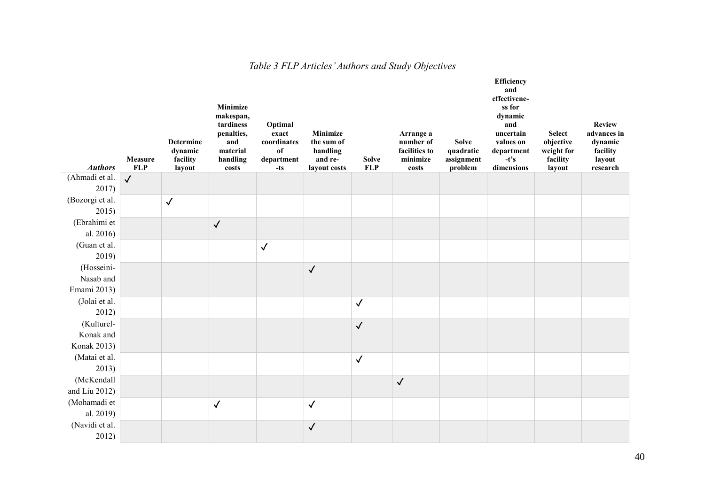<span id="page-39-0"></span>

| <b>Authors</b>                         | Measure<br><b>FLP</b> | <b>Determine</b><br>dynamic<br>facility<br>layout | Minimize<br>makespan,<br>tardiness<br>penalties,<br>and<br>material<br>handling<br>costs | Optimal<br>exact<br>coordinates<br>of<br>department<br>$-ts$ | Minimize<br>the sum of<br>handling<br>and re-<br>layout costs | <b>Solve</b><br><b>FLP</b> | Arrange a<br>number of<br>facilities to<br>minimize<br>costs | <b>Solve</b><br>quadratic<br>assignment<br>problem | <b>Efficiency</b><br>and<br>effectivene-<br>ss for<br>dynamic<br>and<br>uncertain<br>values on<br>department<br>$-t's$<br>dimensions | <b>Select</b><br>objective<br>weight for<br>facility<br>layout | <b>Review</b><br>advances in<br>dynamic<br>facility<br>layout<br>research |
|----------------------------------------|-----------------------|---------------------------------------------------|------------------------------------------------------------------------------------------|--------------------------------------------------------------|---------------------------------------------------------------|----------------------------|--------------------------------------------------------------|----------------------------------------------------|--------------------------------------------------------------------------------------------------------------------------------------|----------------------------------------------------------------|---------------------------------------------------------------------------|
| (Ahmadi et al.<br>2017)                | $\sqrt{2}$            |                                                   |                                                                                          |                                                              |                                                               |                            |                                                              |                                                    |                                                                                                                                      |                                                                |                                                                           |
| (Bozorgi et al.<br>2015)               |                       | $\checkmark$                                      |                                                                                          |                                                              |                                                               |                            |                                                              |                                                    |                                                                                                                                      |                                                                |                                                                           |
| (Ebrahimi et<br>al. 2016)              |                       |                                                   | $\checkmark$                                                                             |                                                              |                                                               |                            |                                                              |                                                    |                                                                                                                                      |                                                                |                                                                           |
| (Guan et al.<br>2019)                  |                       |                                                   |                                                                                          | $\checkmark$                                                 |                                                               |                            |                                                              |                                                    |                                                                                                                                      |                                                                |                                                                           |
| (Hosseini-<br>Nasab and<br>Emami 2013) |                       |                                                   |                                                                                          |                                                              | $\checkmark$                                                  |                            |                                                              |                                                    |                                                                                                                                      |                                                                |                                                                           |
| (Jolai et al.<br>2012)                 |                       |                                                   |                                                                                          |                                                              |                                                               | $\checkmark$               |                                                              |                                                    |                                                                                                                                      |                                                                |                                                                           |
| (Kulturel-<br>Konak and<br>Konak 2013) |                       |                                                   |                                                                                          |                                                              |                                                               | $\checkmark$               |                                                              |                                                    |                                                                                                                                      |                                                                |                                                                           |
| (Matai et al.<br>2013)                 |                       |                                                   |                                                                                          |                                                              |                                                               | $\checkmark$               |                                                              |                                                    |                                                                                                                                      |                                                                |                                                                           |
| (McKendall<br>and Liu $2012$ )         |                       |                                                   |                                                                                          |                                                              |                                                               |                            | $\checkmark$                                                 |                                                    |                                                                                                                                      |                                                                |                                                                           |
| (Mohamadi et<br>al. 2019)              |                       |                                                   | $\checkmark$                                                                             |                                                              | $\checkmark$                                                  |                            |                                                              |                                                    |                                                                                                                                      |                                                                |                                                                           |
| (Navidi et al.<br>2012)                |                       |                                                   |                                                                                          |                                                              | $\checkmark$                                                  |                            |                                                              |                                                    |                                                                                                                                      |                                                                |                                                                           |

## *Table 3 FLP Articles' Authors and Study Objectives*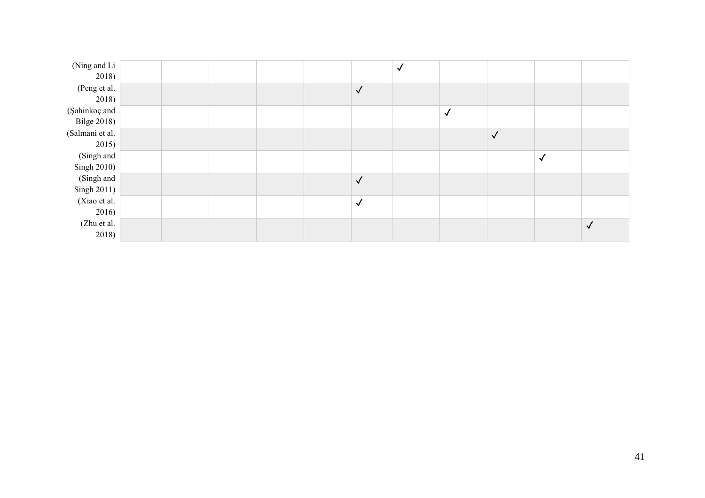| (Ning and Li       |  |  |              | $\checkmark$ |              |              |              |           |
|--------------------|--|--|--------------|--------------|--------------|--------------|--------------|-----------|
| 2018)              |  |  |              |              |              |              |              |           |
| (Peng et al.       |  |  | $\checkmark$ |              |              |              |              |           |
| 2018)              |  |  |              |              |              |              |              |           |
| (Şahinkoç and      |  |  |              |              | $\checkmark$ |              |              |           |
| <b>Bilge 2018)</b> |  |  |              |              |              |              |              |           |
| (Salmani et al.    |  |  |              |              |              | $\checkmark$ |              |           |
| 2015)              |  |  |              |              |              |              |              |           |
| (Singh and         |  |  |              |              |              |              | $\checkmark$ |           |
| Singh 2010)        |  |  |              |              |              |              |              |           |
| (Singh and         |  |  | $\checkmark$ |              |              |              |              |           |
| Singh 2011)        |  |  |              |              |              |              |              |           |
| (Xiao et al.       |  |  | $\checkmark$ |              |              |              |              |           |
| 2016)              |  |  |              |              |              |              |              |           |
| (Zhu et al.        |  |  |              |              |              |              |              | $\sqrt{}$ |
| 2018)              |  |  |              |              |              |              |              |           |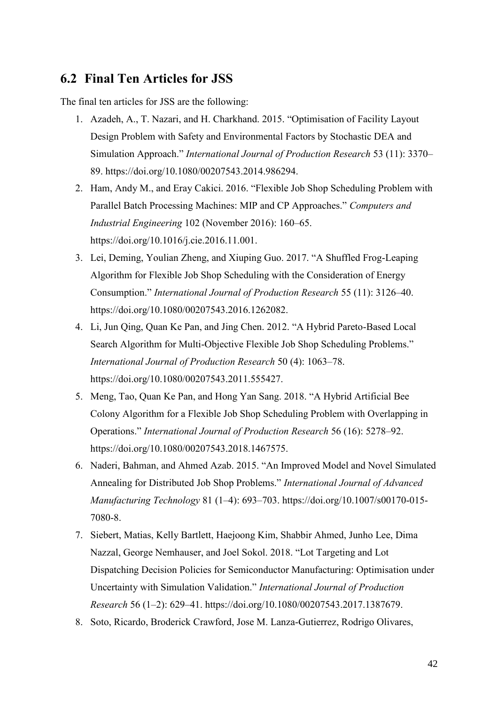#### <span id="page-41-0"></span>**6.2 Final Ten Articles for JSS**

The final ten articles for JSS are the following:

- 1. Azadeh, A., T. Nazari, and H. Charkhand. 2015. "Optimisation of Facility Layout Design Problem with Safety and Environmental Factors by Stochastic DEA and Simulation Approach." *International Journal of Production Research* 53 (11): 3370– 89. https://doi.org/10.1080/00207543.2014.986294.
- 2. Ham, Andy M., and Eray Cakici. 2016. "Flexible Job Shop Scheduling Problem with Parallel Batch Processing Machines: MIP and CP Approaches." *Computers and Industrial Engineering* 102 (November 2016): 160–65. https://doi.org/10.1016/j.cie.2016.11.001.
- 3. Lei, Deming, Youlian Zheng, and Xiuping Guo. 2017. "A Shuffled Frog-Leaping Algorithm for Flexible Job Shop Scheduling with the Consideration of Energy Consumption." *International Journal of Production Research* 55 (11): 3126–40. https://doi.org/10.1080/00207543.2016.1262082.
- 4. Li, Jun Qing, Quan Ke Pan, and Jing Chen. 2012. "A Hybrid Pareto-Based Local Search Algorithm for Multi-Objective Flexible Job Shop Scheduling Problems." *International Journal of Production Research* 50 (4): 1063–78. https://doi.org/10.1080/00207543.2011.555427.
- 5. Meng, Tao, Quan Ke Pan, and Hong Yan Sang. 2018. "A Hybrid Artificial Bee Colony Algorithm for a Flexible Job Shop Scheduling Problem with Overlapping in Operations." *International Journal of Production Research* 56 (16): 5278–92. https://doi.org/10.1080/00207543.2018.1467575.
- 6. Naderi, Bahman, and Ahmed Azab. 2015. "An Improved Model and Novel Simulated Annealing for Distributed Job Shop Problems." *International Journal of Advanced Manufacturing Technology* 81 (1–4): 693–703. https://doi.org/10.1007/s00170-015- 7080-8.
- 7. Siebert, Matias, Kelly Bartlett, Haejoong Kim, Shabbir Ahmed, Junho Lee, Dima Nazzal, George Nemhauser, and Joel Sokol. 2018. "Lot Targeting and Lot Dispatching Decision Policies for Semiconductor Manufacturing: Optimisation under Uncertainty with Simulation Validation." *International Journal of Production Research* 56 (1–2): 629–41. https://doi.org/10.1080/00207543.2017.1387679.
- 8. Soto, Ricardo, Broderick Crawford, Jose M. Lanza-Gutierrez, Rodrigo Olivares,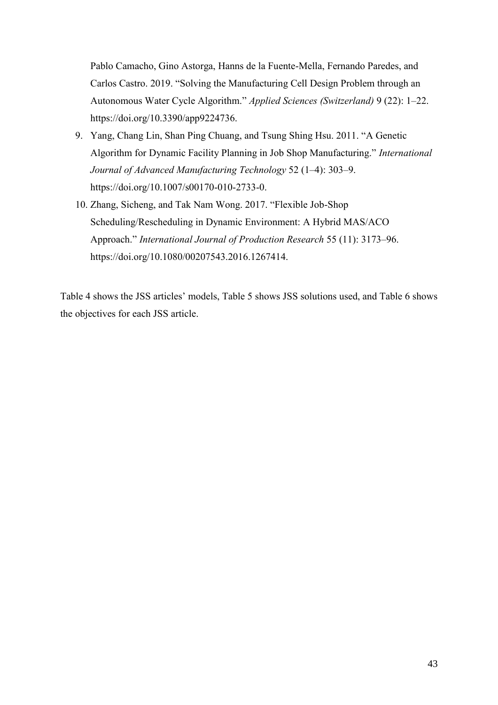Pablo Camacho, Gino Astorga, Hanns de la Fuente-Mella, Fernando Paredes, and Carlos Castro. 2019. "Solving the Manufacturing Cell Design Problem through an Autonomous Water Cycle Algorithm." *Applied Sciences (Switzerland)* 9 (22): 1–22. https://doi.org/10.3390/app9224736.

- 9. Yang, Chang Lin, Shan Ping Chuang, and Tsung Shing Hsu. 2011. "A Genetic Algorithm for Dynamic Facility Planning in Job Shop Manufacturing." *International Journal of Advanced Manufacturing Technology* 52 (1–4): 303–9. https://doi.org/10.1007/s00170-010-2733-0.
- 10. Zhang, Sicheng, and Tak Nam Wong. 2017. "Flexible Job-Shop Scheduling/Rescheduling in Dynamic Environment: A Hybrid MAS/ACO Approach." *International Journal of Production Research* 55 (11): 3173–96. https://doi.org/10.1080/00207543.2016.1267414.

Table 4 shows the JSS articles' models, Table 5 shows JSS solutions used, and Table 6 shows the objectives for each JSS article.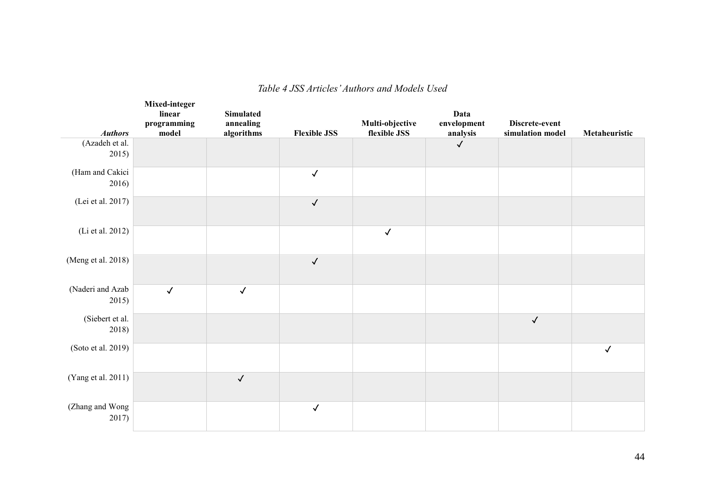<span id="page-43-0"></span>

|                           | Mixed-integer<br>linear<br>programming | Simulated<br>annealing |                     | Multi-objective | Data<br>envelopment | Discrete-event   |               |
|---------------------------|----------------------------------------|------------------------|---------------------|-----------------|---------------------|------------------|---------------|
| <b>Authors</b>            | model                                  | algorithms             | <b>Flexible JSS</b> | flexible JSS    | analysis            | simulation model | Metaheuristic |
| (Azadeh et al.<br>2015)   |                                        |                        |                     |                 | $\checkmark$        |                  |               |
| (Ham and Cakici<br>2016)  |                                        |                        | $\checkmark$        |                 |                     |                  |               |
| (Lei et al. 2017)         |                                        |                        | $\checkmark$        |                 |                     |                  |               |
| (Li et al. 2012)          |                                        |                        |                     | $\checkmark$    |                     |                  |               |
| (Meng et al. 2018)        |                                        |                        | $\checkmark$        |                 |                     |                  |               |
| (Naderi and Azab<br>2015) | $\checkmark$                           | $\checkmark$           |                     |                 |                     |                  |               |
| (Siebert et al.<br>2018)  |                                        |                        |                     |                 |                     | $\checkmark$     |               |
| (Soto et al. 2019)        |                                        |                        |                     |                 |                     |                  | $\checkmark$  |
| (Yang et al. 2011)        |                                        | $\checkmark$           |                     |                 |                     |                  |               |
| (Zhang and Wong<br>2017)  |                                        |                        | $\checkmark$        |                 |                     |                  |               |

#### *Table 4 JSS Articles' Authors and Models Used*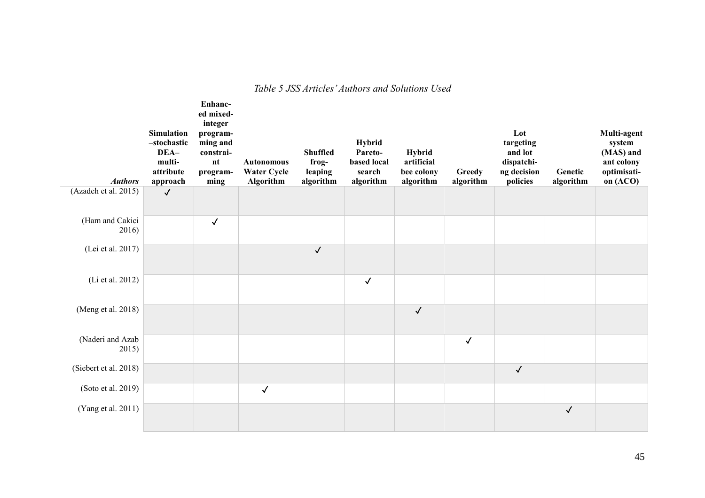#### *Table 5 JSS Articles' Authors and Solutions Used*

<span id="page-44-0"></span>

| <b>Authors</b>            | <b>Simulation</b><br>-stochastic<br>DEA-<br>multi-<br>attribute<br>approach | Enhanc-<br>ed mixed-<br>integer<br>program-<br>ming and<br>constrai-<br>n t<br>program-<br>ming | <b>Autonomous</b><br><b>Water Cycle</b><br>Algorithm | <b>Shuffled</b><br>frog-<br>leaping<br>algorithm | <b>Hybrid</b><br>Pareto-<br>based local<br>search<br>algorithm | <b>Hybrid</b><br>artificial<br>bee colony<br>algorithm | Greedy<br>algorithm | Lot<br>targeting<br>and lot<br>dispatchi-<br>ng decision<br>policies | Genetic<br>algorithm | Multi-agent<br>system<br>(MAS) and<br>ant colony<br>optimisati-<br>on (ACO) |
|---------------------------|-----------------------------------------------------------------------------|-------------------------------------------------------------------------------------------------|------------------------------------------------------|--------------------------------------------------|----------------------------------------------------------------|--------------------------------------------------------|---------------------|----------------------------------------------------------------------|----------------------|-----------------------------------------------------------------------------|
| (Azadeh et al. 2015)      | $\checkmark$                                                                |                                                                                                 |                                                      |                                                  |                                                                |                                                        |                     |                                                                      |                      |                                                                             |
| (Ham and Cakici<br>2016)  |                                                                             | $\checkmark$                                                                                    |                                                      |                                                  |                                                                |                                                        |                     |                                                                      |                      |                                                                             |
| (Lei et al. 2017)         |                                                                             |                                                                                                 |                                                      | $\checkmark$                                     |                                                                |                                                        |                     |                                                                      |                      |                                                                             |
| (Li et al. 2012)          |                                                                             |                                                                                                 |                                                      |                                                  | $\checkmark$                                                   |                                                        |                     |                                                                      |                      |                                                                             |
| (Meng et al. 2018)        |                                                                             |                                                                                                 |                                                      |                                                  |                                                                | $\checkmark$                                           |                     |                                                                      |                      |                                                                             |
| (Naderi and Azab<br>2015) |                                                                             |                                                                                                 |                                                      |                                                  |                                                                |                                                        | $\checkmark$        |                                                                      |                      |                                                                             |
| (Siebert et al. 2018)     |                                                                             |                                                                                                 |                                                      |                                                  |                                                                |                                                        |                     | $\checkmark$                                                         |                      |                                                                             |
| (Soto et al. 2019)        |                                                                             |                                                                                                 | $\checkmark$                                         |                                                  |                                                                |                                                        |                     |                                                                      |                      |                                                                             |
| (Yang et al. 2011)        |                                                                             |                                                                                                 |                                                      |                                                  |                                                                |                                                        |                     |                                                                      | $\checkmark$         |                                                                             |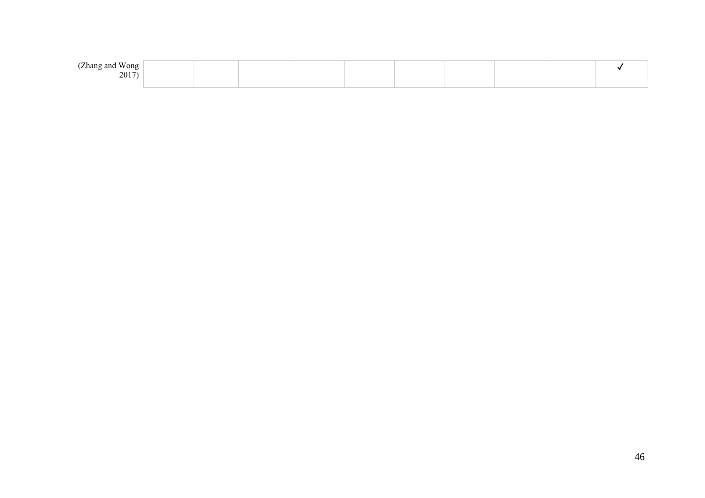| $-$<br>(Zhang and<br>Wong |  |  |  |  |  |
|---------------------------|--|--|--|--|--|
| 2017)                     |  |  |  |  |  |
|                           |  |  |  |  |  |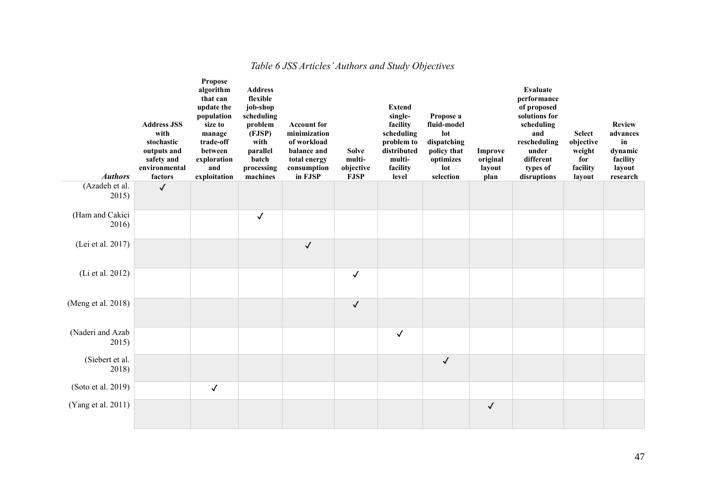<span id="page-46-0"></span>

| <b>Authors</b>            | <b>Address JSS</b><br>with<br>stochastic<br>outputs and<br>safety and<br>environmental<br>factors | Propose<br>algorithm<br>that can<br>update the<br>population<br>size to<br>manage<br>trade-off<br>between<br>exploration<br>and<br>exploitation | <b>Address</b><br>flexible<br>job-shop<br>scheduling<br>problem<br>(FJSP)<br>with<br>parallel<br>batch<br>processing<br>machines | <b>Account for</b><br>minimization<br>of workload<br>balance and<br>total energy<br>consumption<br>in FJSP | <b>Solve</b><br>multi-<br>objective<br><b>FJSP</b> | <b>Extend</b><br>single-<br>facility<br>scheduling<br>problem to<br>distributed<br>multi-<br>facility<br>level | Propose a<br>fluid-model<br>lot<br>dispatching<br>policy that<br>optimizes<br>lot<br>selection | <b>Improve</b><br>original<br>layout<br>plan | <b>Evaluate</b><br>performance<br>of proposed<br>solutions for<br>scheduling<br>and<br>rescheduling<br>under<br>different<br>types of<br>disruptions | <b>Select</b><br>objective<br>weight<br>for<br>facility<br>layout | <b>Review</b><br>advances<br>in<br>dynamic<br>facility<br>layout<br>research |
|---------------------------|---------------------------------------------------------------------------------------------------|-------------------------------------------------------------------------------------------------------------------------------------------------|----------------------------------------------------------------------------------------------------------------------------------|------------------------------------------------------------------------------------------------------------|----------------------------------------------------|----------------------------------------------------------------------------------------------------------------|------------------------------------------------------------------------------------------------|----------------------------------------------|------------------------------------------------------------------------------------------------------------------------------------------------------|-------------------------------------------------------------------|------------------------------------------------------------------------------|
| (Azadeh et al.<br>2015)   | $\checkmark$                                                                                      |                                                                                                                                                 |                                                                                                                                  |                                                                                                            |                                                    |                                                                                                                |                                                                                                |                                              |                                                                                                                                                      |                                                                   |                                                                              |
| (Ham and Cakici<br>2016)  |                                                                                                   |                                                                                                                                                 | $\checkmark$                                                                                                                     |                                                                                                            |                                                    |                                                                                                                |                                                                                                |                                              |                                                                                                                                                      |                                                                   |                                                                              |
| (Lei et al. 2017)         |                                                                                                   |                                                                                                                                                 |                                                                                                                                  | $\checkmark$                                                                                               |                                                    |                                                                                                                |                                                                                                |                                              |                                                                                                                                                      |                                                                   |                                                                              |
| (Li et al. 2012)          |                                                                                                   |                                                                                                                                                 |                                                                                                                                  |                                                                                                            | $\checkmark$                                       |                                                                                                                |                                                                                                |                                              |                                                                                                                                                      |                                                                   |                                                                              |
| (Meng et al. 2018)        |                                                                                                   |                                                                                                                                                 |                                                                                                                                  |                                                                                                            | $\checkmark$                                       |                                                                                                                |                                                                                                |                                              |                                                                                                                                                      |                                                                   |                                                                              |
| (Naderi and Azab<br>2015) |                                                                                                   |                                                                                                                                                 |                                                                                                                                  |                                                                                                            |                                                    | $\checkmark$                                                                                                   |                                                                                                |                                              |                                                                                                                                                      |                                                                   |                                                                              |
| (Siebert et al.<br>2018)  |                                                                                                   |                                                                                                                                                 |                                                                                                                                  |                                                                                                            |                                                    |                                                                                                                | $\checkmark$                                                                                   |                                              |                                                                                                                                                      |                                                                   |                                                                              |
| (Soto et al. 2019)        |                                                                                                   | $\checkmark$                                                                                                                                    |                                                                                                                                  |                                                                                                            |                                                    |                                                                                                                |                                                                                                |                                              |                                                                                                                                                      |                                                                   |                                                                              |
| (Yang et al. 2011)        |                                                                                                   |                                                                                                                                                 |                                                                                                                                  |                                                                                                            |                                                    |                                                                                                                |                                                                                                | $\checkmark$                                 |                                                                                                                                                      |                                                                   |                                                                              |

## *Table 6 JSS Articles' Authors and Study Objectives*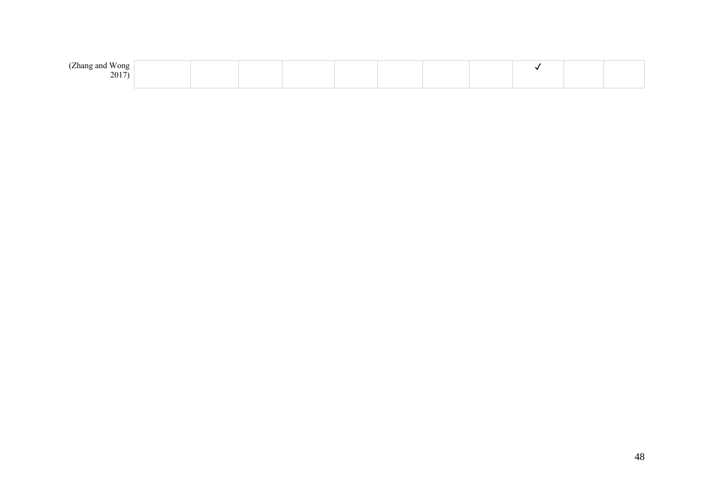| 7.777<br>(Zhang and<br>Wong |  |  |  |  |  |  |
|-----------------------------|--|--|--|--|--|--|
| 2017                        |  |  |  |  |  |  |
|                             |  |  |  |  |  |  |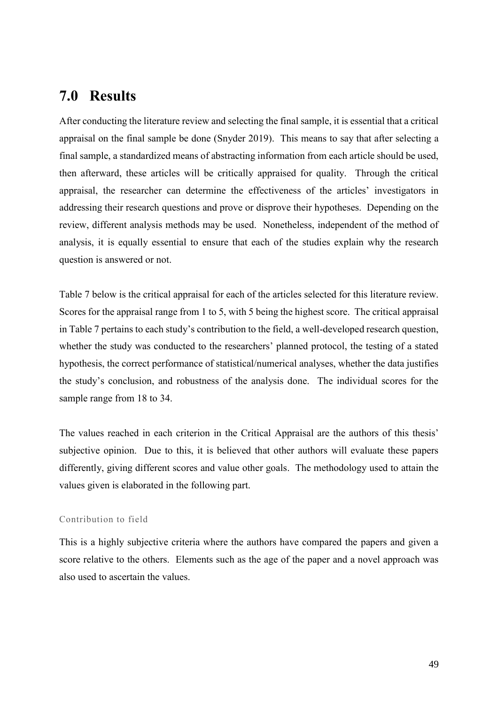## <span id="page-48-0"></span>**7.0 Results**

After conducting the literature review and selecting the final sample, it is essential that a critical appraisal on the final sample be done (Snyder 2019). This means to say that after selecting a final sample, a standardized means of abstracting information from each article should be used, then afterward, these articles will be critically appraised for quality. Through the critical appraisal, the researcher can determine the effectiveness of the articles' investigators in addressing their research questions and prove or disprove their hypotheses. Depending on the review, different analysis methods may be used. Nonetheless, independent of the method of analysis, it is equally essential to ensure that each of the studies explain why the research question is answered or not.

Table 7 below is the critical appraisal for each of the articles selected for this literature review. Scores for the appraisal range from 1 to 5, with 5 being the highest score. The critical appraisal in Table 7 pertains to each study's contribution to the field, a well-developed research question, whether the study was conducted to the researchers' planned protocol, the testing of a stated hypothesis, the correct performance of statistical/numerical analyses, whether the data justifies the study's conclusion, and robustness of the analysis done. The individual scores for the sample range from 18 to 34.

The values reached in each criterion in the Critical Appraisal are the authors of this thesis' subjective opinion. Due to this, it is believed that other authors will evaluate these papers differently, giving different scores and value other goals. The methodology used to attain the values given is elaborated in the following part.

#### Contribution to field

This is a highly subjective criteria where the authors have compared the papers and given a score relative to the others. Elements such as the age of the paper and a novel approach was also used to ascertain the values.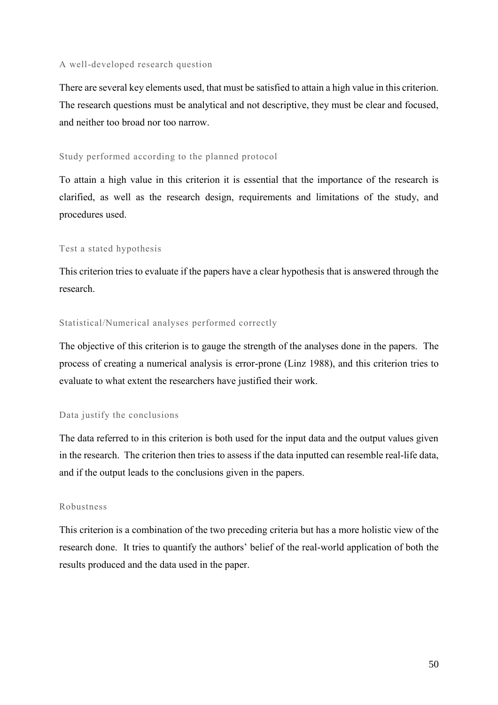#### A well-developed research question

There are several key elements used, that must be satisfied to attain a high value in this criterion. The research questions must be analytical and not descriptive, they must be clear and focused, and neither too broad nor too narrow.

#### Study performed according to the planned protocol

To attain a high value in this criterion it is essential that the importance of the research is clarified, as well as the research design, requirements and limitations of the study, and procedures used.

#### Test a stated hypothesis

This criterion tries to evaluate if the papers have a clear hypothesis that is answered through the research.

#### Statistical/Numerical analyses performed correctly

The objective of this criterion is to gauge the strength of the analyses done in the papers. The process of creating a numerical analysis is error-prone (Linz 1988), and this criterion tries to evaluate to what extent the researchers have justified their work.

#### Data justify the conclusions

The data referred to in this criterion is both used for the input data and the output values given in the research. The criterion then tries to assess if the data inputted can resemble real-life data, and if the output leads to the conclusions given in the papers.

#### Robustness

This criterion is a combination of the two preceding criteria but has a more holistic view of the research done. It tries to quantify the authors' belief of the real-world application of both the results produced and the data used in the paper.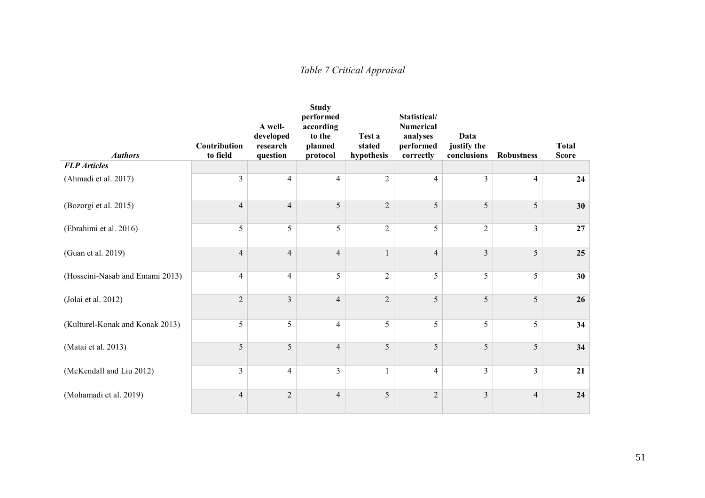## *Table 7 Critical Appraisal*

<span id="page-50-0"></span>

| <b>Authors</b>                  | <b>Contribution</b><br>to field | A well-<br>developed<br>research<br>question | <b>Study</b><br>performed<br>according<br>to the<br>planned<br>protocol | Test a<br>stated<br>hypothesis | Statistical/<br><b>Numerical</b><br>analyses<br>performed<br>correctly | Data<br>justify the<br>conclusions | <b>Robustness</b> | <b>Total</b><br><b>Score</b> |
|---------------------------------|---------------------------------|----------------------------------------------|-------------------------------------------------------------------------|--------------------------------|------------------------------------------------------------------------|------------------------------------|-------------------|------------------------------|
| <b>FLP</b> Articles             |                                 |                                              |                                                                         |                                |                                                                        |                                    |                   |                              |
| (Ahmadi et al. 2017)            | 3                               | $\overline{4}$                               | $\overline{4}$                                                          | $\overline{c}$                 | 4                                                                      | 3                                  | $\overline{4}$    | 24                           |
| (Bozorgi et al. 2015)           | $\overline{4}$                  | $\overline{4}$                               | 5                                                                       | $\overline{2}$                 | 5                                                                      | 5                                  | 5                 | 30                           |
| (Ebrahimi et al. 2016)          | 5                               | 5                                            | 5                                                                       | $\overline{2}$                 | 5                                                                      | $\overline{2}$                     | $\overline{3}$    | 27                           |
| (Guan et al. 2019)              | $\overline{4}$                  | $\overline{4}$                               | $\overline{4}$                                                          | $\mathbf{1}$                   | $\overline{4}$                                                         | $\overline{3}$                     | 5                 | 25                           |
| (Hosseini-Nasab and Emami 2013) | $\overline{4}$                  | $\overline{4}$                               | 5                                                                       | $\sqrt{2}$                     | 5                                                                      | 5                                  | 5                 | 30                           |
| (Jolai et al. 2012)             | $\overline{2}$                  | $\mathfrak{Z}$                               | $\overline{4}$                                                          | $\sqrt{2}$                     | 5                                                                      | 5                                  | 5                 | 26                           |
| (Kulturel-Konak and Konak 2013) | 5                               | 5                                            | $\overline{4}$                                                          | 5                              | 5                                                                      | 5                                  | 5                 | 34                           |
| (Matai et al. 2013)             | 5                               | 5                                            | $\overline{4}$                                                          | 5                              | 5                                                                      | 5                                  | 5                 | 34                           |
| (McKendall and Liu 2012)        | $\overline{3}$                  | $\overline{4}$                               | $\overline{3}$                                                          | $\mathbf{1}$                   | $\overline{4}$                                                         | $\overline{3}$                     | $\overline{3}$    | 21                           |
| (Mohamadi et al. 2019)          | $\overline{4}$                  | $\sqrt{2}$                                   | $\overline{4}$                                                          | 5                              | $\overline{2}$                                                         | $\overline{3}$                     | $\overline{4}$    | 24                           |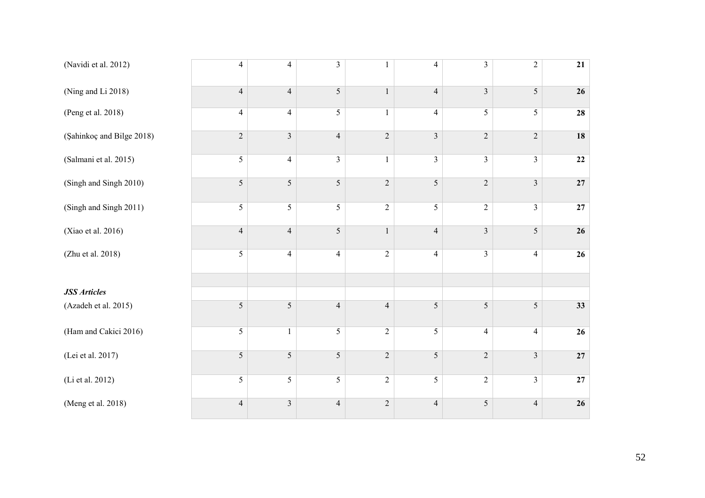| (Navidi et al. 2012)      | $\overline{4}$ | $\overline{4}$ | $\mathfrak{Z}$ | $\mathbf{1}$     | $\overline{4}$ | $\overline{\mathbf{3}}$ | $\overline{c}$          | 21              |
|---------------------------|----------------|----------------|----------------|------------------|----------------|-------------------------|-------------------------|-----------------|
| (Ning and Li 2018)        | $\overline{4}$ | $\overline{4}$ | 5              | $\mathbf{1}$     | $\overline{4}$ | $\overline{3}$          | 5                       | 26              |
| (Peng et al. 2018)        | $\overline{4}$ | $\overline{4}$ | 5              | $\mathbf{1}$     | $\overline{4}$ | $\overline{5}$          | $\overline{5}$          | 28              |
| (Şahinkoç and Bilge 2018) | $\overline{2}$ | $\mathfrak{Z}$ | $\overline{4}$ | $\sqrt{2}$       | $\overline{3}$ | $\sqrt{2}$              | $\sqrt{2}$              | 18              |
| (Salmani et al. 2015)     | $\sqrt{5}$     | $\overline{4}$ | $\overline{3}$ | $\mathbf{1}$     | $\overline{3}$ | $\mathfrak{Z}$          | $\overline{3}$          | $\bf{22}$       |
| (Singh and Singh 2010)    | 5              | 5              | 5              | $\sqrt{2}$       | 5              | $\sqrt{2}$              | $\mathfrak{Z}$          | 27              |
| (Singh and Singh 2011)    | $\sqrt{5}$     | $\mathfrak{S}$ | 5              | $\boldsymbol{2}$ | 5              | $\sqrt{2}$              | $\overline{3}$          | 27              |
| (Xiao et al. 2016)        | $\overline{4}$ | $\overline{4}$ | 5              | $\,1\,$          | $\overline{4}$ | $\overline{3}$          | 5                       | 26              |
| (Zhu et al. 2018)         | 5              | $\overline{4}$ | $\overline{4}$ | $\overline{2}$   | $\overline{4}$ | $\overline{\mathbf{3}}$ | $\overline{4}$          | $\overline{26}$ |
|                           |                |                |                |                  |                |                         |                         |                 |
| <b>JSS</b> Articles       | $\sqrt{5}$     | $\sqrt{5}$     | $\overline{4}$ | $\overline{4}$   | $\sqrt{5}$     | $\sqrt{5}$              | 5                       | 33              |
| (Azadeh et al. 2015)      |                |                |                |                  |                |                         |                         |                 |
| (Ham and Cakici 2016)     | $\sqrt{5}$     | $\mathbf{1}$   | $\overline{5}$ | $\overline{2}$   | $\overline{5}$ | $\overline{4}$          | $\overline{4}$          | $\overline{26}$ |
| (Lei et al. 2017)         | 5              | 5              | 5              | $\sqrt{2}$       | 5              | $\sqrt{2}$              | $\overline{\mathbf{3}}$ | 27              |
| (Li et al. 2012)          | 5              | $\overline{5}$ | $\overline{5}$ | $\overline{2}$   | $\overline{5}$ | $\overline{2}$          | $\overline{3}$          | $\overline{27}$ |
| (Meng et al. 2018)        | $\overline{4}$ | $\mathfrak{Z}$ | $\overline{4}$ | $\sqrt{2}$       | $\overline{4}$ | $\sqrt{5}$              | $\overline{4}$          | 26              |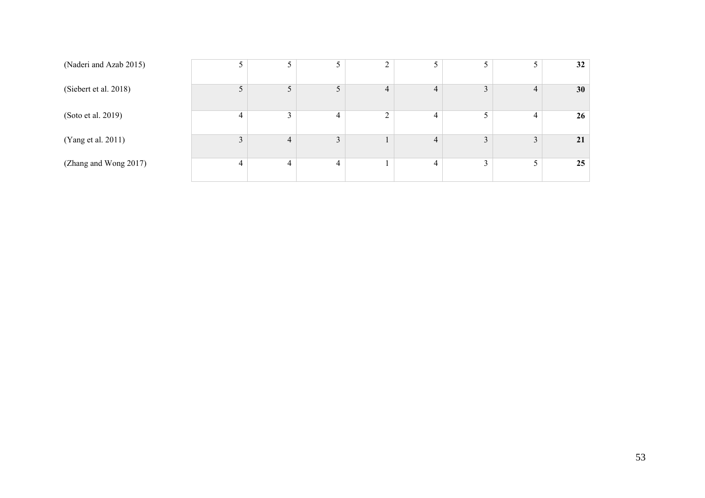| (Naderi and Azab 2015) |   | 5              |   | $\sim$         |                |                |               | 32              |
|------------------------|---|----------------|---|----------------|----------------|----------------|---------------|-----------------|
| (Siebert et al. 2018)  |   | 5              |   | $\overline{4}$ | $\overline{4}$ | $\overline{3}$ | 4             | 30 <sup>°</sup> |
| (Soto et al. 2019)     | 4 | $\mathfrak{Z}$ | 4 | 2              | 4              | 5              | 4             | 26 <sup>°</sup> |
| (Yang et al. 2011)     |   | $\overline{4}$ | 3 |                | $\overline{4}$ | $\overline{3}$ | $\mathcal{L}$ | 21              |
| (Zhang and Wong 2017)  |   | $\overline{4}$ |   |                | 4              | $\gamma$       |               | 25              |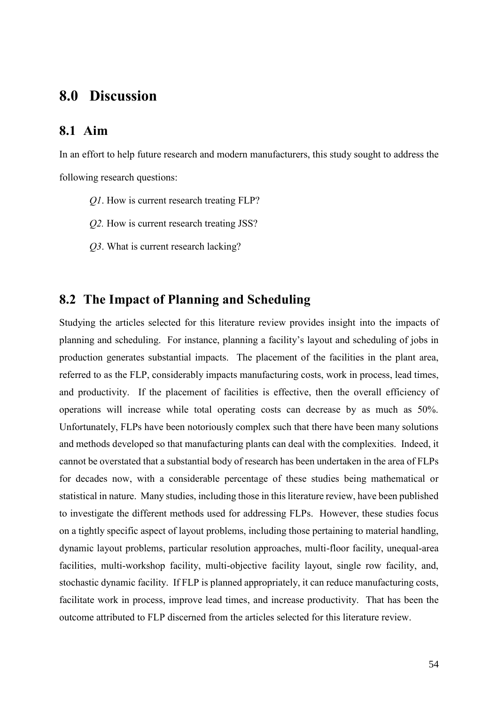## <span id="page-53-0"></span>**8.0 Discussion**

#### <span id="page-53-1"></span>**8.1 Aim**

In an effort to help future research and modern manufacturers, this study sought to address the following research questions:

- *Q1*. How is current research treating FLP?
- *Q2.* How is current research treating JSS?
- *Q3*. What is current research lacking?

## <span id="page-53-2"></span>**8.2 The Impact of Planning and Scheduling**

Studying the articles selected for this literature review provides insight into the impacts of planning and scheduling. For instance, planning a facility's layout and scheduling of jobs in production generates substantial impacts. The placement of the facilities in the plant area, referred to as the FLP, considerably impacts manufacturing costs, work in process, lead times, and productivity. If the placement of facilities is effective, then the overall efficiency of operations will increase while total operating costs can decrease by as much as 50%. Unfortunately, FLPs have been notoriously complex such that there have been many solutions and methods developed so that manufacturing plants can deal with the complexities. Indeed, it cannot be overstated that a substantial body of research has been undertaken in the area of FLPs for decades now, with a considerable percentage of these studies being mathematical or statistical in nature. Many studies, including those in this literature review, have been published to investigate the different methods used for addressing FLPs. However, these studies focus on a tightly specific aspect of layout problems, including those pertaining to material handling, dynamic layout problems, particular resolution approaches, multi-floor facility, unequal-area facilities, multi-workshop facility, multi-objective facility layout, single row facility, and, stochastic dynamic facility. If FLP is planned appropriately, it can reduce manufacturing costs, facilitate work in process, improve lead times, and increase productivity. That has been the outcome attributed to FLP discerned from the articles selected for this literature review.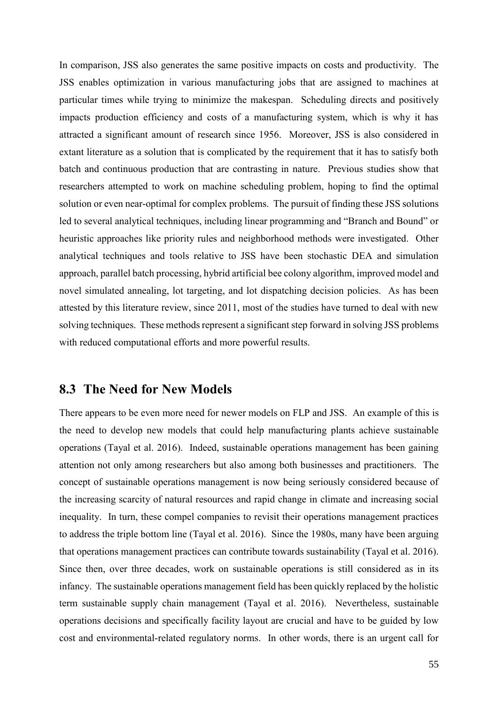In comparison, JSS also generates the same positive impacts on costs and productivity. The JSS enables optimization in various manufacturing jobs that are assigned to machines at particular times while trying to minimize the makespan. Scheduling directs and positively impacts production efficiency and costs of a manufacturing system, which is why it has attracted a significant amount of research since 1956. Moreover, JSS is also considered in extant literature as a solution that is complicated by the requirement that it has to satisfy both batch and continuous production that are contrasting in nature. Previous studies show that researchers attempted to work on machine scheduling problem, hoping to find the optimal solution or even near-optimal for complex problems. The pursuit of finding these JSS solutions led to several analytical techniques, including linear programming and "Branch and Bound" or heuristic approaches like priority rules and neighborhood methods were investigated. Other analytical techniques and tools relative to JSS have been stochastic DEA and simulation approach, parallel batch processing, hybrid artificial bee colony algorithm, improved model and novel simulated annealing, lot targeting, and lot dispatching decision policies. As has been attested by this literature review, since 2011, most of the studies have turned to deal with new solving techniques. These methods represent a significant step forward in solving JSS problems with reduced computational efforts and more powerful results.

#### <span id="page-54-0"></span>**8.3 The Need for New Models**

There appears to be even more need for newer models on FLP and JSS. An example of this is the need to develop new models that could help manufacturing plants achieve sustainable operations (Tayal et al. 2016). Indeed, sustainable operations management has been gaining attention not only among researchers but also among both businesses and practitioners. The concept of sustainable operations management is now being seriously considered because of the increasing scarcity of natural resources and rapid change in climate and increasing social inequality. In turn, these compel companies to revisit their operations management practices to address the triple bottom line (Tayal et al. 2016). Since the 1980s, many have been arguing that operations management practices can contribute towards sustainability (Tayal et al. 2016). Since then, over three decades, work on sustainable operations is still considered as in its infancy. The sustainable operations management field has been quickly replaced by the holistic term sustainable supply chain management (Tayal et al. 2016). Nevertheless, sustainable operations decisions and specifically facility layout are crucial and have to be guided by low cost and environmental-related regulatory norms. In other words, there is an urgent call for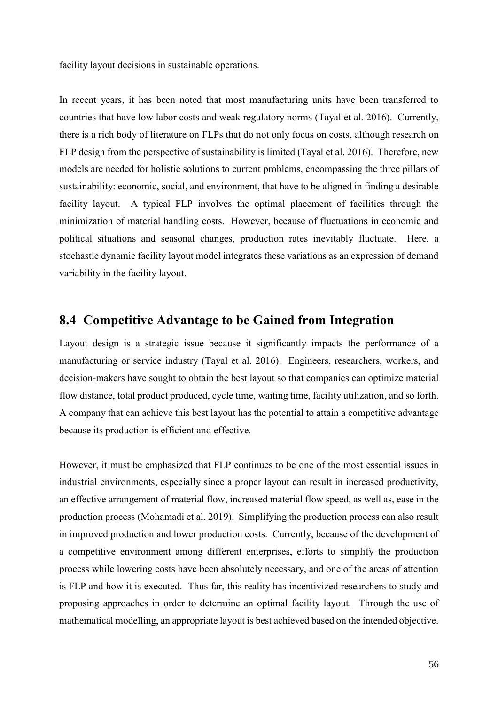facility layout decisions in sustainable operations.

In recent years, it has been noted that most manufacturing units have been transferred to countries that have low labor costs and weak regulatory norms (Tayal et al. 2016). Currently, there is a rich body of literature on FLPs that do not only focus on costs, although research on FLP design from the perspective of sustainability is limited (Tayal et al. 2016). Therefore, new models are needed for holistic solutions to current problems, encompassing the three pillars of sustainability: economic, social, and environment, that have to be aligned in finding a desirable facility layout. A typical FLP involves the optimal placement of facilities through the minimization of material handling costs. However, because of fluctuations in economic and political situations and seasonal changes, production rates inevitably fluctuate. Here, a stochastic dynamic facility layout model integrates these variations as an expression of demand variability in the facility layout.

## <span id="page-55-0"></span>**8.4 Competitive Advantage to be Gained from Integration**

Layout design is a strategic issue because it significantly impacts the performance of a manufacturing or service industry (Tayal et al. 2016). Engineers, researchers, workers, and decision-makers have sought to obtain the best layout so that companies can optimize material flow distance, total product produced, cycle time, waiting time, facility utilization, and so forth. A company that can achieve this best layout has the potential to attain a competitive advantage because its production is efficient and effective.

However, it must be emphasized that FLP continues to be one of the most essential issues in industrial environments, especially since a proper layout can result in increased productivity, an effective arrangement of material flow, increased material flow speed, as well as, ease in the production process (Mohamadi et al. 2019). Simplifying the production process can also result in improved production and lower production costs. Currently, because of the development of a competitive environment among different enterprises, efforts to simplify the production process while lowering costs have been absolutely necessary, and one of the areas of attention is FLP and how it is executed. Thus far, this reality has incentivized researchers to study and proposing approaches in order to determine an optimal facility layout. Through the use of mathematical modelling, an appropriate layout is best achieved based on the intended objective.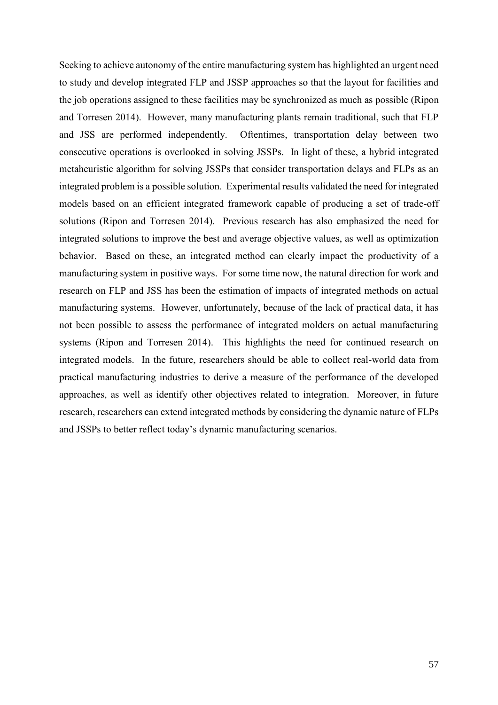Seeking to achieve autonomy of the entire manufacturing system has highlighted an urgent need to study and develop integrated FLP and JSSP approaches so that the layout for facilities and the job operations assigned to these facilities may be synchronized as much as possible (Ripon and Torresen 2014). However, many manufacturing plants remain traditional, such that FLP and JSS are performed independently. Oftentimes, transportation delay between two consecutive operations is overlooked in solving JSSPs. In light of these, a hybrid integrated metaheuristic algorithm for solving JSSPs that consider transportation delays and FLPs as an integrated problem is a possible solution. Experimental results validated the need for integrated models based on an efficient integrated framework capable of producing a set of trade-off solutions (Ripon and Torresen 2014). Previous research has also emphasized the need for integrated solutions to improve the best and average objective values, as well as optimization behavior. Based on these, an integrated method can clearly impact the productivity of a manufacturing system in positive ways. For some time now, the natural direction for work and research on FLP and JSS has been the estimation of impacts of integrated methods on actual manufacturing systems. However, unfortunately, because of the lack of practical data, it has not been possible to assess the performance of integrated molders on actual manufacturing systems (Ripon and Torresen 2014). This highlights the need for continued research on integrated models. In the future, researchers should be able to collect real-world data from practical manufacturing industries to derive a measure of the performance of the developed approaches, as well as identify other objectives related to integration. Moreover, in future research, researchers can extend integrated methods by considering the dynamic nature of FLPs and JSSPs to better reflect today's dynamic manufacturing scenarios.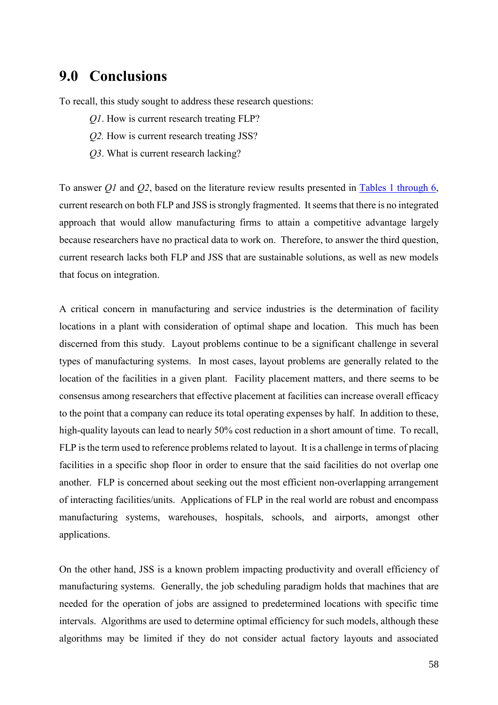## <span id="page-57-0"></span>**9.0 Conclusions**

To recall, this study sought to address these research questions:

- *Q1*. How is current research treating FLP?
- *Q2.* How is current research treating JSS?
- *Q3*. What is current research lacking?

To answer *Q1* and *Q2*, based on the literature review results presented in [Tables 1 through 6,](#page-31-0) current research on both FLP and JSS is strongly fragmented. It seems that there is no integrated approach that would allow manufacturing firms to attain a competitive advantage largely because researchers have no practical data to work on. Therefore, to answer the third question, current research lacks both FLP and JSS that are sustainable solutions, as well as new models that focus on integration.

A critical concern in manufacturing and service industries is the determination of facility locations in a plant with consideration of optimal shape and location. This much has been discerned from this study. Layout problems continue to be a significant challenge in several types of manufacturing systems. In most cases, layout problems are generally related to the location of the facilities in a given plant. Facility placement matters, and there seems to be consensus among researchers that effective placement at facilities can increase overall efficacy to the point that a company can reduce its total operating expenses by half. In addition to these, high-quality layouts can lead to nearly 50% cost reduction in a short amount of time. To recall, FLP is the term used to reference problems related to layout. It is a challenge in terms of placing facilities in a specific shop floor in order to ensure that the said facilities do not overlap one another. FLP is concerned about seeking out the most efficient non-overlapping arrangement of interacting facilities/units. Applications of FLP in the real world are robust and encompass manufacturing systems, warehouses, hospitals, schools, and airports, amongst other applications.

On the other hand, JSS is a known problem impacting productivity and overall efficiency of manufacturing systems. Generally, the job scheduling paradigm holds that machines that are needed for the operation of jobs are assigned to predetermined locations with specific time intervals. Algorithms are used to determine optimal efficiency for such models, although these algorithms may be limited if they do not consider actual factory layouts and associated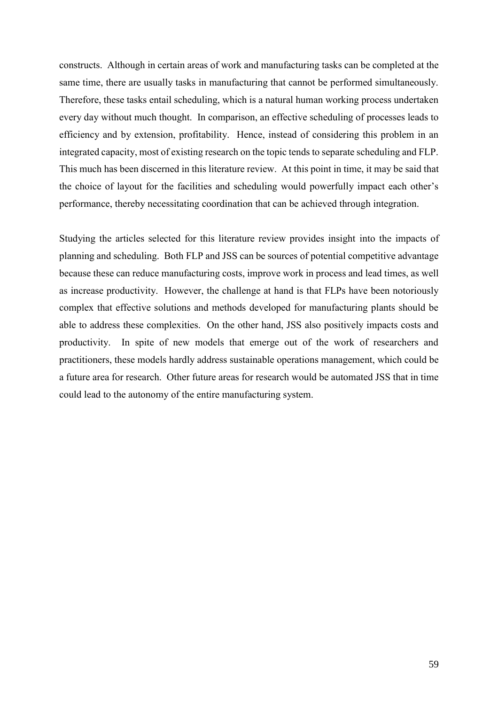constructs. Although in certain areas of work and manufacturing tasks can be completed at the same time, there are usually tasks in manufacturing that cannot be performed simultaneously. Therefore, these tasks entail scheduling, which is a natural human working process undertaken every day without much thought. In comparison, an effective scheduling of processes leads to efficiency and by extension, profitability. Hence, instead of considering this problem in an integrated capacity, most of existing research on the topic tends to separate scheduling and FLP. This much has been discerned in this literature review. At this point in time, it may be said that the choice of layout for the facilities and scheduling would powerfully impact each other's performance, thereby necessitating coordination that can be achieved through integration.

Studying the articles selected for this literature review provides insight into the impacts of planning and scheduling. Both FLP and JSS can be sources of potential competitive advantage because these can reduce manufacturing costs, improve work in process and lead times, as well as increase productivity. However, the challenge at hand is that FLPs have been notoriously complex that effective solutions and methods developed for manufacturing plants should be able to address these complexities. On the other hand, JSS also positively impacts costs and productivity. In spite of new models that emerge out of the work of researchers and practitioners, these models hardly address sustainable operations management, which could be a future area for research. Other future areas for research would be automated JSS that in time could lead to the autonomy of the entire manufacturing system.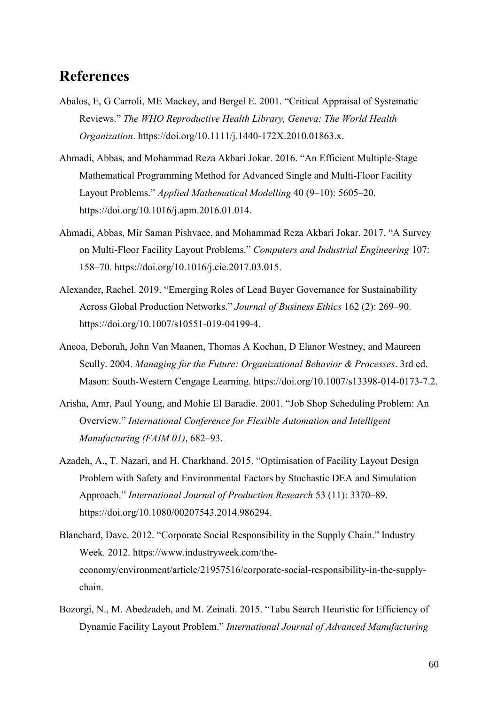## <span id="page-59-0"></span>**References**

- Abalos, E, G Carroli, ME Mackey, and Bergel E. 2001. "Critical Appraisal of Systematic Reviews." *The WHO Reproductive Health Library, Geneva: The World Health Organization*. https://doi.org/10.1111/j.1440-172X.2010.01863.x.
- Ahmadi, Abbas, and Mohammad Reza Akbari Jokar. 2016. "An Efficient Multiple-Stage Mathematical Programming Method for Advanced Single and Multi-Floor Facility Layout Problems." *Applied Mathematical Modelling* 40 (9–10): 5605–20. https://doi.org/10.1016/j.apm.2016.01.014.
- Ahmadi, Abbas, Mir Saman Pishvaee, and Mohammad Reza Akbari Jokar. 2017. "A Survey on Multi-Floor Facility Layout Problems." *Computers and Industrial Engineering* 107: 158–70. https://doi.org/10.1016/j.cie.2017.03.015.
- Alexander, Rachel. 2019. "Emerging Roles of Lead Buyer Governance for Sustainability Across Global Production Networks." *Journal of Business Ethics* 162 (2): 269–90. https://doi.org/10.1007/s10551-019-04199-4.
- Ancoa, Deborah, John Van Maanen, Thomas A Kochan, D Elanor Westney, and Maureen Scully. 2004. *Managing for the Future: Organizational Behavior & Processes*. 3rd ed. Mason: South-Western Cengage Learning. https://doi.org/10.1007/s13398-014-0173-7.2.
- Arisha, Amr, Paul Young, and Mohie El Baradie. 2001. "Job Shop Scheduling Problem: An Overview." *International Conference for Flexible Automation and Intelligent Manufacturing (FAIM 01)*, 682–93.
- Azadeh, A., T. Nazari, and H. Charkhand. 2015. "Optimisation of Facility Layout Design Problem with Safety and Environmental Factors by Stochastic DEA and Simulation Approach." *International Journal of Production Research* 53 (11): 3370–89. https://doi.org/10.1080/00207543.2014.986294.
- Blanchard, Dave. 2012. "Corporate Social Responsibility in the Supply Chain." Industry Week. 2012. https://www.industryweek.com/theeconomy/environment/article/21957516/corporate-social-responsibility-in-the-supplychain.
- Bozorgi, N., M. Abedzadeh, and M. Zeinali. 2015. "Tabu Search Heuristic for Efficiency of Dynamic Facility Layout Problem." *International Journal of Advanced Manufacturing*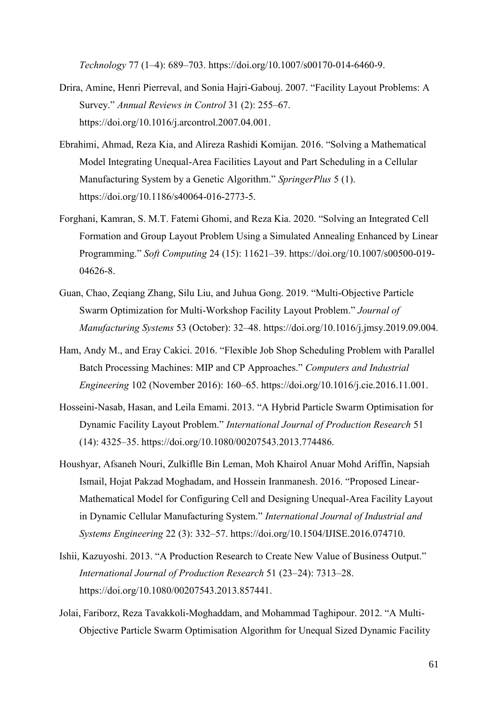*Technology* 77 (1–4): 689–703. https://doi.org/10.1007/s00170-014-6460-9.

- Drira, Amine, Henri Pierreval, and Sonia Hajri-Gabouj. 2007. "Facility Layout Problems: A Survey." *Annual Reviews in Control* 31 (2): 255–67. https://doi.org/10.1016/j.arcontrol.2007.04.001.
- Ebrahimi, Ahmad, Reza Kia, and Alireza Rashidi Komijan. 2016. "Solving a Mathematical Model Integrating Unequal-Area Facilities Layout and Part Scheduling in a Cellular Manufacturing System by a Genetic Algorithm." *SpringerPlus* 5 (1). https://doi.org/10.1186/s40064-016-2773-5.
- Forghani, Kamran, S. M.T. Fatemi Ghomi, and Reza Kia. 2020. "Solving an Integrated Cell Formation and Group Layout Problem Using a Simulated Annealing Enhanced by Linear Programming." *Soft Computing* 24 (15): 11621–39. https://doi.org/10.1007/s00500-019- 04626-8.
- Guan, Chao, Zeqiang Zhang, Silu Liu, and Juhua Gong. 2019. "Multi-Objective Particle Swarm Optimization for Multi-Workshop Facility Layout Problem." *Journal of Manufacturing Systems* 53 (October): 32–48. https://doi.org/10.1016/j.jmsy.2019.09.004.
- Ham, Andy M., and Eray Cakici. 2016. "Flexible Job Shop Scheduling Problem with Parallel Batch Processing Machines: MIP and CP Approaches." *Computers and Industrial Engineering* 102 (November 2016): 160–65. https://doi.org/10.1016/j.cie.2016.11.001.
- Hosseini-Nasab, Hasan, and Leila Emami. 2013. "A Hybrid Particle Swarm Optimisation for Dynamic Facility Layout Problem." *International Journal of Production Research* 51 (14): 4325–35. https://doi.org/10.1080/00207543.2013.774486.
- Houshyar, Afsaneh Nouri, Zulkiflle Bin Leman, Moh Khairol Anuar Mohd Ariffin, Napsiah Ismail, Hojat Pakzad Moghadam, and Hossein Iranmanesh. 2016. "Proposed Linear-Mathematical Model for Configuring Cell and Designing Unequal-Area Facility Layout in Dynamic Cellular Manufacturing System." *International Journal of Industrial and Systems Engineering* 22 (3): 332–57. https://doi.org/10.1504/IJISE.2016.074710.
- Ishii, Kazuyoshi. 2013. "A Production Research to Create New Value of Business Output." *International Journal of Production Research* 51 (23–24): 7313–28. https://doi.org/10.1080/00207543.2013.857441.
- Jolai, Fariborz, Reza Tavakkoli-Moghaddam, and Mohammad Taghipour. 2012. "A Multi-Objective Particle Swarm Optimisation Algorithm for Unequal Sized Dynamic Facility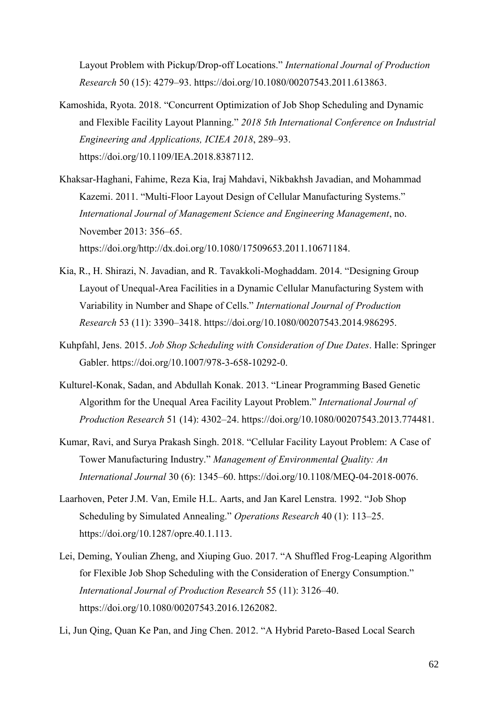Layout Problem with Pickup/Drop-off Locations." *International Journal of Production Research* 50 (15): 4279–93. https://doi.org/10.1080/00207543.2011.613863.

- Kamoshida, Ryota. 2018. "Concurrent Optimization of Job Shop Scheduling and Dynamic and Flexible Facility Layout Planning." *2018 5th International Conference on Industrial Engineering and Applications, ICIEA 2018*, 289–93. https://doi.org/10.1109/IEA.2018.8387112.
- Khaksar-Haghani, Fahime, Reza Kia, Iraj Mahdavi, Nikbakhsh Javadian, and Mohammad Kazemi. 2011. "Multi-Floor Layout Design of Cellular Manufacturing Systems." *International Journal of Management Science and Engineering Management*, no. November 2013: 356–65. https://doi.org/http://dx.doi.org/10.1080/17509653.2011.10671184.
- Kia, R., H. Shirazi, N. Javadian, and R. Tavakkoli-Moghaddam. 2014. "Designing Group Layout of Unequal-Area Facilities in a Dynamic Cellular Manufacturing System with Variability in Number and Shape of Cells." *International Journal of Production Research* 53 (11): 3390–3418. https://doi.org/10.1080/00207543.2014.986295.
- Kuhpfahl, Jens. 2015. *Job Shop Scheduling with Consideration of Due Dates*. Halle: Springer Gabler. https://doi.org/10.1007/978-3-658-10292-0.
- Kulturel-Konak, Sadan, and Abdullah Konak. 2013. "Linear Programming Based Genetic Algorithm for the Unequal Area Facility Layout Problem." *International Journal of Production Research* 51 (14): 4302–24. https://doi.org/10.1080/00207543.2013.774481.
- Kumar, Ravi, and Surya Prakash Singh. 2018. "Cellular Facility Layout Problem: A Case of Tower Manufacturing Industry." *Management of Environmental Quality: An International Journal* 30 (6): 1345–60. https://doi.org/10.1108/MEQ-04-2018-0076.
- Laarhoven, Peter J.M. Van, Emile H.L. Aarts, and Jan Karel Lenstra. 1992. "Job Shop Scheduling by Simulated Annealing." *Operations Research* 40 (1): 113–25. https://doi.org/10.1287/opre.40.1.113.
- Lei, Deming, Youlian Zheng, and Xiuping Guo. 2017. "A Shuffled Frog-Leaping Algorithm for Flexible Job Shop Scheduling with the Consideration of Energy Consumption." *International Journal of Production Research* 55 (11): 3126–40. https://doi.org/10.1080/00207543.2016.1262082.
- Li, Jun Qing, Quan Ke Pan, and Jing Chen. 2012. "A Hybrid Pareto-Based Local Search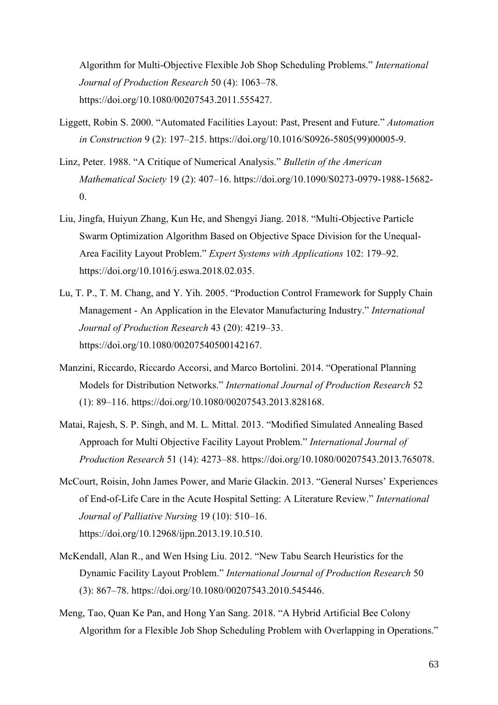Algorithm for Multi-Objective Flexible Job Shop Scheduling Problems." *International Journal of Production Research* 50 (4): 1063–78. https://doi.org/10.1080/00207543.2011.555427.

- Liggett, Robin S. 2000. "Automated Facilities Layout: Past, Present and Future." *Automation in Construction* 9 (2): 197–215. https://doi.org/10.1016/S0926-5805(99)00005-9.
- Linz, Peter. 1988. "A Critique of Numerical Analysis." *Bulletin of the American Mathematical Society* 19 (2): 407–16. https://doi.org/10.1090/S0273-0979-1988-15682- 0.
- Liu, Jingfa, Huiyun Zhang, Kun He, and Shengyi Jiang. 2018. "Multi-Objective Particle Swarm Optimization Algorithm Based on Objective Space Division for the Unequal-Area Facility Layout Problem." *Expert Systems with Applications* 102: 179–92. https://doi.org/10.1016/j.eswa.2018.02.035.
- Lu, T. P., T. M. Chang, and Y. Yih. 2005. "Production Control Framework for Supply Chain Management - An Application in the Elevator Manufacturing Industry." *International Journal of Production Research* 43 (20): 4219–33. https://doi.org/10.1080/00207540500142167.
- Manzini, Riccardo, Riccardo Accorsi, and Marco Bortolini. 2014. "Operational Planning Models for Distribution Networks." *International Journal of Production Research* 52 (1): 89–116. https://doi.org/10.1080/00207543.2013.828168.
- Matai, Rajesh, S. P. Singh, and M. L. Mittal. 2013. "Modified Simulated Annealing Based Approach for Multi Objective Facility Layout Problem." *International Journal of Production Research* 51 (14): 4273–88. https://doi.org/10.1080/00207543.2013.765078.
- McCourt, Roisin, John James Power, and Marie Glackin. 2013. "General Nurses' Experiences of End-of-Life Care in the Acute Hospital Setting: A Literature Review." *International Journal of Palliative Nursing* 19 (10): 510–16. https://doi.org/10.12968/ijpn.2013.19.10.510.
- McKendall, Alan R., and Wen Hsing Liu. 2012. "New Tabu Search Heuristics for the Dynamic Facility Layout Problem." *International Journal of Production Research* 50 (3): 867–78. https://doi.org/10.1080/00207543.2010.545446.
- Meng, Tao, Quan Ke Pan, and Hong Yan Sang. 2018. "A Hybrid Artificial Bee Colony Algorithm for a Flexible Job Shop Scheduling Problem with Overlapping in Operations."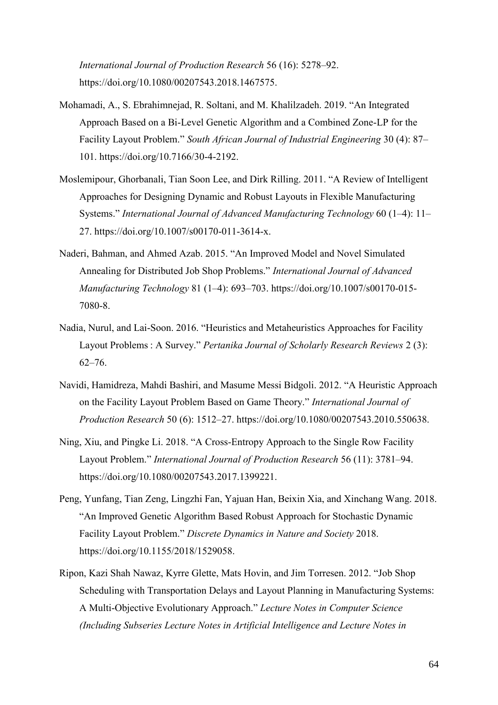*International Journal of Production Research* 56 (16): 5278–92. https://doi.org/10.1080/00207543.2018.1467575.

- Mohamadi, A., S. Ebrahimnejad, R. Soltani, and M. Khalilzadeh. 2019. "An Integrated Approach Based on a Bi-Level Genetic Algorithm and a Combined Zone-LP for the Facility Layout Problem." *South African Journal of Industrial Engineering* 30 (4): 87– 101. https://doi.org/10.7166/30-4-2192.
- Moslemipour, Ghorbanali, Tian Soon Lee, and Dirk Rilling. 2011. "A Review of Intelligent Approaches for Designing Dynamic and Robust Layouts in Flexible Manufacturing Systems." *International Journal of Advanced Manufacturing Technology* 60 (1–4): 11– 27. https://doi.org/10.1007/s00170-011-3614-x.
- Naderi, Bahman, and Ahmed Azab. 2015. "An Improved Model and Novel Simulated Annealing for Distributed Job Shop Problems." *International Journal of Advanced Manufacturing Technology* 81 (1–4): 693–703. https://doi.org/10.1007/s00170-015- 7080-8.
- Nadia, Nurul, and Lai-Soon. 2016. "Heuristics and Metaheuristics Approaches for Facility Layout Problems : A Survey." *Pertanika Journal of Scholarly Research Reviews* 2 (3): 62–76.
- Navidi, Hamidreza, Mahdi Bashiri, and Masume Messi Bidgoli. 2012. "A Heuristic Approach on the Facility Layout Problem Based on Game Theory." *International Journal of Production Research* 50 (6): 1512–27. https://doi.org/10.1080/00207543.2010.550638.
- Ning, Xiu, and Pingke Li. 2018. "A Cross-Entropy Approach to the Single Row Facility Layout Problem." *International Journal of Production Research* 56 (11): 3781–94. https://doi.org/10.1080/00207543.2017.1399221.
- Peng, Yunfang, Tian Zeng, Lingzhi Fan, Yajuan Han, Beixin Xia, and Xinchang Wang. 2018. "An Improved Genetic Algorithm Based Robust Approach for Stochastic Dynamic Facility Layout Problem." *Discrete Dynamics in Nature and Society* 2018. https://doi.org/10.1155/2018/1529058.
- Ripon, Kazi Shah Nawaz, Kyrre Glette, Mats Hovin, and Jim Torresen. 2012. "Job Shop Scheduling with Transportation Delays and Layout Planning in Manufacturing Systems: A Multi-Objective Evolutionary Approach." *Lecture Notes in Computer Science (Including Subseries Lecture Notes in Artificial Intelligence and Lecture Notes in*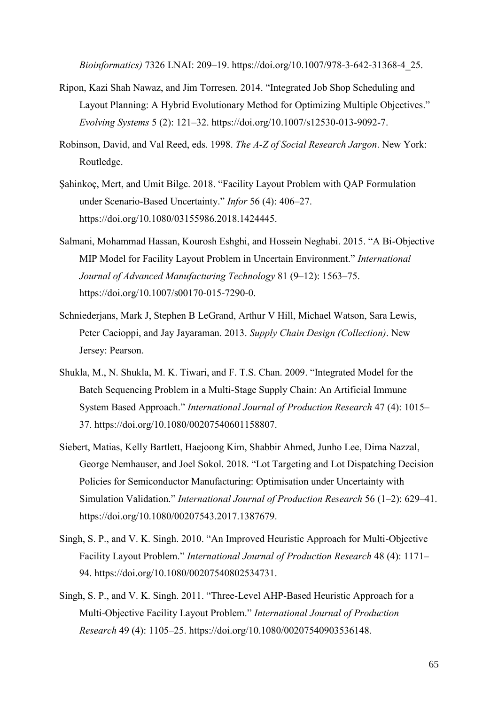*Bioinformatics)* 7326 LNAI: 209–19. https://doi.org/10.1007/978-3-642-31368-4\_25.

- Ripon, Kazi Shah Nawaz, and Jim Torresen. 2014. "Integrated Job Shop Scheduling and Layout Planning: A Hybrid Evolutionary Method for Optimizing Multiple Objectives." *Evolving Systems* 5 (2): 121–32. https://doi.org/10.1007/s12530-013-9092-7.
- Robinson, David, and Val Reed, eds. 1998. *The A-Z of Social Research Jargon*. New York: Routledge.
- Şahinkoç, Mert, and Umit Bilge. 2018. "Facility Layout Problem with QAP Formulation under Scenario-Based Uncertainty." *Infor* 56 (4): 406–27. https://doi.org/10.1080/03155986.2018.1424445.
- Salmani, Mohammad Hassan, Kourosh Eshghi, and Hossein Neghabi. 2015. "A Bi-Objective MIP Model for Facility Layout Problem in Uncertain Environment." *International Journal of Advanced Manufacturing Technology* 81 (9–12): 1563–75. https://doi.org/10.1007/s00170-015-7290-0.
- Schniederjans, Mark J, Stephen B LeGrand, Arthur V Hill, Michael Watson, Sara Lewis, Peter Cacioppi, and Jay Jayaraman. 2013. *Supply Chain Design (Collection)*. New Jersey: Pearson.
- Shukla, M., N. Shukla, M. K. Tiwari, and F. T.S. Chan. 2009. "Integrated Model for the Batch Sequencing Problem in a Multi-Stage Supply Chain: An Artificial Immune System Based Approach." *International Journal of Production Research* 47 (4): 1015– 37. https://doi.org/10.1080/00207540601158807.
- Siebert, Matias, Kelly Bartlett, Haejoong Kim, Shabbir Ahmed, Junho Lee, Dima Nazzal, George Nemhauser, and Joel Sokol. 2018. "Lot Targeting and Lot Dispatching Decision Policies for Semiconductor Manufacturing: Optimisation under Uncertainty with Simulation Validation." *International Journal of Production Research* 56 (1–2): 629–41. https://doi.org/10.1080/00207543.2017.1387679.
- Singh, S. P., and V. K. Singh. 2010. "An Improved Heuristic Approach for Multi-Objective Facility Layout Problem." *International Journal of Production Research* 48 (4): 1171– 94. https://doi.org/10.1080/00207540802534731.
- Singh, S. P., and V. K. Singh. 2011. "Three-Level AHP-Based Heuristic Approach for a Multi-Objective Facility Layout Problem." *International Journal of Production Research* 49 (4): 1105–25. https://doi.org/10.1080/00207540903536148.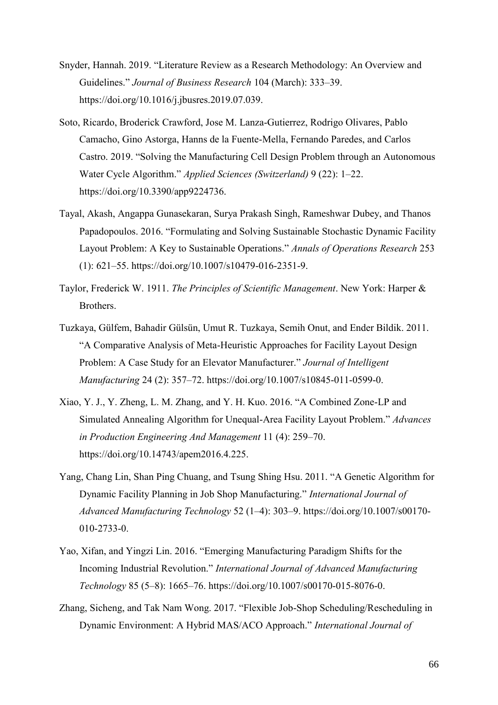- Snyder, Hannah. 2019. "Literature Review as a Research Methodology: An Overview and Guidelines." *Journal of Business Research* 104 (March): 333–39. https://doi.org/10.1016/j.jbusres.2019.07.039.
- Soto, Ricardo, Broderick Crawford, Jose M. Lanza-Gutierrez, Rodrigo Olivares, Pablo Camacho, Gino Astorga, Hanns de la Fuente-Mella, Fernando Paredes, and Carlos Castro. 2019. "Solving the Manufacturing Cell Design Problem through an Autonomous Water Cycle Algorithm." *Applied Sciences (Switzerland)* 9 (22): 1–22. https://doi.org/10.3390/app9224736.
- Tayal, Akash, Angappa Gunasekaran, Surya Prakash Singh, Rameshwar Dubey, and Thanos Papadopoulos. 2016. "Formulating and Solving Sustainable Stochastic Dynamic Facility Layout Problem: A Key to Sustainable Operations." *Annals of Operations Research* 253 (1): 621–55. https://doi.org/10.1007/s10479-016-2351-9.
- Taylor, Frederick W. 1911. *The Principles of Scientific Management*. New York: Harper & Brothers.
- Tuzkaya, Gülfem, Bahadir Gülsün, Umut R. Tuzkaya, Semih Onut, and Ender Bildik. 2011. "A Comparative Analysis of Meta-Heuristic Approaches for Facility Layout Design Problem: A Case Study for an Elevator Manufacturer." *Journal of Intelligent Manufacturing* 24 (2): 357–72. https://doi.org/10.1007/s10845-011-0599-0.
- Xiao, Y. J., Y. Zheng, L. M. Zhang, and Y. H. Kuo. 2016. "A Combined Zone-LP and Simulated Annealing Algorithm for Unequal-Area Facility Layout Problem." *Advances in Production Engineering And Management* 11 (4): 259–70. https://doi.org/10.14743/apem2016.4.225.
- Yang, Chang Lin, Shan Ping Chuang, and Tsung Shing Hsu. 2011. "A Genetic Algorithm for Dynamic Facility Planning in Job Shop Manufacturing." *International Journal of Advanced Manufacturing Technology* 52 (1–4): 303–9. https://doi.org/10.1007/s00170- 010-2733-0.
- Yao, Xifan, and Yingzi Lin. 2016. "Emerging Manufacturing Paradigm Shifts for the Incoming Industrial Revolution." *International Journal of Advanced Manufacturing Technology* 85 (5–8): 1665–76. https://doi.org/10.1007/s00170-015-8076-0.
- Zhang, Sicheng, and Tak Nam Wong. 2017. "Flexible Job-Shop Scheduling/Rescheduling in Dynamic Environment: A Hybrid MAS/ACO Approach." *International Journal of*